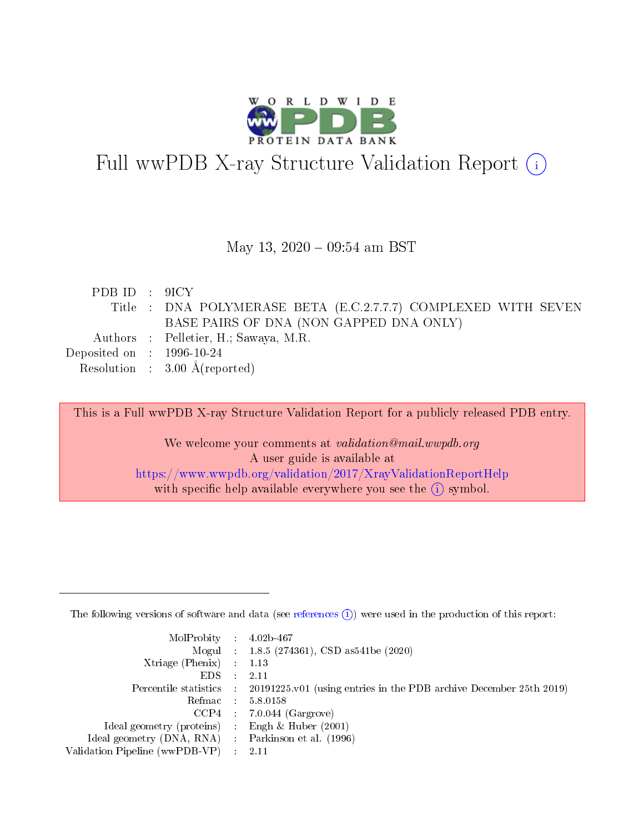

# Full wwPDB X-ray Structure Validation Report (i)

#### May 13, 2020 - 09:54 am BST

| PDBID : 9ICY                |                                                                |
|-----------------------------|----------------------------------------------------------------|
|                             | Title : DNA POLYMERASE BETA (E.C.2.7.7.7) COMPLEXED WITH SEVEN |
|                             | BASE PAIRS OF DNA (NON GAPPED DNA ONLY)                        |
|                             | Authors : Pelletier, H.; Sawaya, M.R.                          |
| Deposited on : $1996-10-24$ |                                                                |
|                             | Resolution : $3.00 \text{ Å}$ (reported)                       |

This is a Full wwPDB X-ray Structure Validation Report for a publicly released PDB entry.

We welcome your comments at validation@mail.wwpdb.org A user guide is available at <https://www.wwpdb.org/validation/2017/XrayValidationReportHelp> with specific help available everywhere you see the  $(i)$  symbol.

The following versions of software and data (see [references](https://www.wwpdb.org/validation/2017/XrayValidationReportHelp#references)  $(1)$ ) were used in the production of this report:

| $MolProbability$ : 4.02b-467                      |                              |                                                                                            |
|---------------------------------------------------|------------------------------|--------------------------------------------------------------------------------------------|
|                                                   |                              | Mogul : $1.8.5$ (274361), CSD as 541be (2020)                                              |
| Xtriage (Phenix) $: 1.13$                         |                              |                                                                                            |
| EDS –                                             | $\sim$                       | -2.11                                                                                      |
|                                                   |                              | Percentile statistics : 20191225.v01 (using entries in the PDB archive December 25th 2019) |
| Refmac : 5.8.0158                                 |                              |                                                                                            |
| CCP4                                              |                              | $7.0.044$ (Gargrove)                                                                       |
| Ideal geometry (proteins)                         | $\mathcal{L}_{\mathrm{eff}}$ | Engh & Huber $(2001)$                                                                      |
| Ideal geometry (DNA, RNA) Parkinson et al. (1996) |                              |                                                                                            |
| Validation Pipeline (wwPDB-VP) : 2.11             |                              |                                                                                            |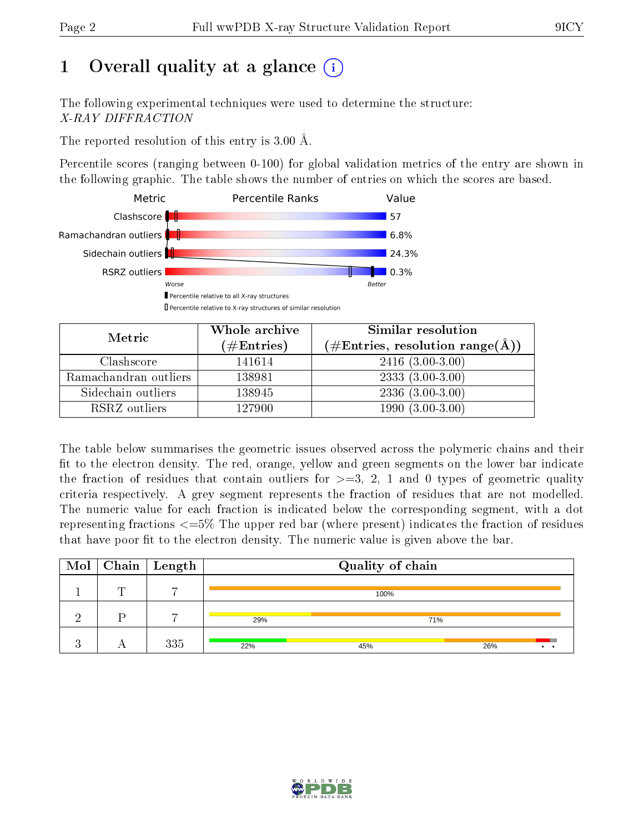## 1 [O](https://www.wwpdb.org/validation/2017/XrayValidationReportHelp#overall_quality)verall quality at a glance  $(i)$

The following experimental techniques were used to determine the structure: X-RAY DIFFRACTION

The reported resolution of this entry is 3.00 Å.

Percentile scores (ranging between 0-100) for global validation metrics of the entry are shown in the following graphic. The table shows the number of entries on which the scores are based.



| Metric                | Whole archive<br>$(\#\mathrm{Entries})$ | Similar resolution<br>$(\#\text{Entries}, \text{resolution range}(\text{\AA}))$ |
|-----------------------|-----------------------------------------|---------------------------------------------------------------------------------|
| Clashscore            | 141614                                  | $2416(3.00-3.00)$                                                               |
| Ramachandran outliers | 138981                                  | $2333(3.00-3.00)$                                                               |
| Sidechain outliers    | 138945                                  | $2336(3.00-3.00)$                                                               |
| RSRZ outliers         | 127900                                  | $1990(3.00-3.00)$                                                               |

The table below summarises the geometric issues observed across the polymeric chains and their fit to the electron density. The red, orange, yellow and green segments on the lower bar indicate the fraction of residues that contain outliers for  $\geq=3$ , 2, 1 and 0 types of geometric quality criteria respectively. A grey segment represents the fraction of residues that are not modelled. The numeric value for each fraction is indicated below the corresponding segment, with a dot representing fractions  $\epsilon=5\%$  The upper red bar (where present) indicates the fraction of residues that have poor fit to the electron density. The numeric value is given above the bar.

|   |        | $\boxed{\text{Mol}}$ Chain   Length |     | Quality of chain |     |
|---|--------|-------------------------------------|-----|------------------|-----|
|   | $\Box$ | $\overline{ }$                      |     | 100%             |     |
| റ |        |                                     | 29% |                  | 71% |
|   |        | 335                                 | 22% | 45%              | 26% |

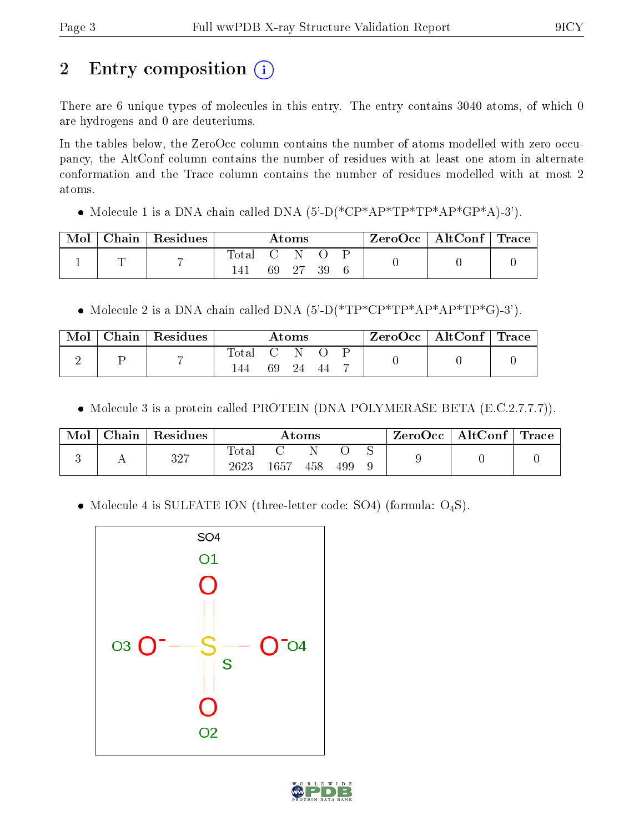## 2 Entry composition  $\left( \cdot \right)$

There are 6 unique types of molecules in this entry. The entry contains 3040 atoms, of which 0 are hydrogens and 0 are deuteriums.

In the tables below, the ZeroOcc column contains the number of atoms modelled with zero occupancy, the AltConf column contains the number of residues with at least one atom in alternate conformation and the Trace column contains the number of residues modelled with at most 2 atoms.

• Molecule 1 is a DNA chain called DNA  $(5)-D(*\text{CP}^*AP*TP*TP*AP*GP*A)-3'$ .

| Mol | Chain   Residues |       |       | $\rm{Atoms}$ |    | $\text{ZeroOcc} \mid \text{AltConf} \mid \text{Trace}$ |  |
|-----|------------------|-------|-------|--------------|----|--------------------------------------------------------|--|
|     |                  | Total | $C-N$ |              |    |                                                        |  |
|     |                  |       | 69 27 |              | 39 |                                                        |  |

• Molecule 2 is a DNA chain called DNA  $(5'-D(*TP*CP*TP*AP*AP*TP*G)-3')$ .

| Mol | $\mid$ Chain $\mid$ Residues |              |     | $\rm{Atoms}$ |    | $\text{ZeroOcc} \mid \text{AltConf} \mid \text{Trace}$ |  |
|-----|------------------------------|--------------|-----|--------------|----|--------------------------------------------------------|--|
| ∸   | -                            | Total<br>-44 | -69 | -24          | 44 |                                                        |  |

• Molecule 3 is a protein called PROTEIN (DNA POLYMERASE BETA (E.C.2.7.7.7)).

| Mol | $Chain   Residues$ |                     |      | Atoms |     | $^{\shortmid}$ ZeroOcc $\mid$ AltConf $\mid$ Trace |  |
|-----|--------------------|---------------------|------|-------|-----|----------------------------------------------------|--|
|     | $^{327}$           | $\rm Total$<br>2623 | 1657 | 458   | 499 |                                                    |  |

• Molecule 4 is SULFATE ION (three-letter code: SO4) (formula: O<sub>4</sub>S).



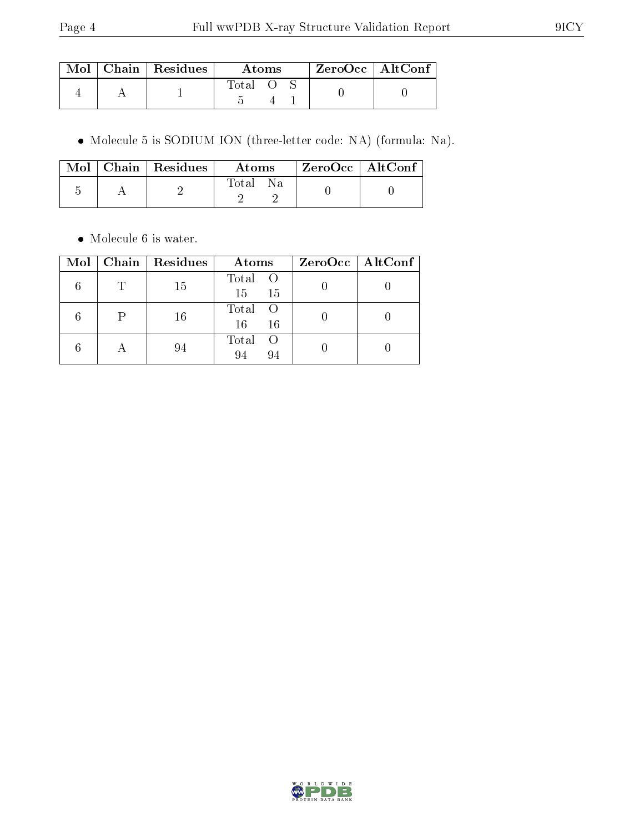|  | $\mid$ Mol $\mid$ Chain $\mid$ Residues $\mid$ | Atoms |  |  | $ZeroOcc \   \ AltConf$ |  |
|--|------------------------------------------------|-------|--|--|-------------------------|--|
|  |                                                | Total |  |  |                         |  |

Molecule 5 is SODIUM ION (three-letter code: NA) (formula: Na).

|  | $\text{Mol}$   Chain   Residues | Atoms        | $\mid$ ZeroOcc $\mid$ AltConf $\mid$ |  |
|--|---------------------------------|--------------|--------------------------------------|--|
|  |                                 | Total<br>Na. |                                      |  |

• Molecule 6 is water.

| Mol |           | Chain   Residues | Atoms                           | ZeroOcc   AltConf |
|-----|-----------|------------------|---------------------------------|-------------------|
|     |           | 15               | Total O<br>15<br>15             |                   |
|     |           | 16               | Total<br>$\circ$ O<br>16<br>-16 |                   |
|     | $\forall$ | 94               | Total<br>- ( )<br>94<br>94      |                   |

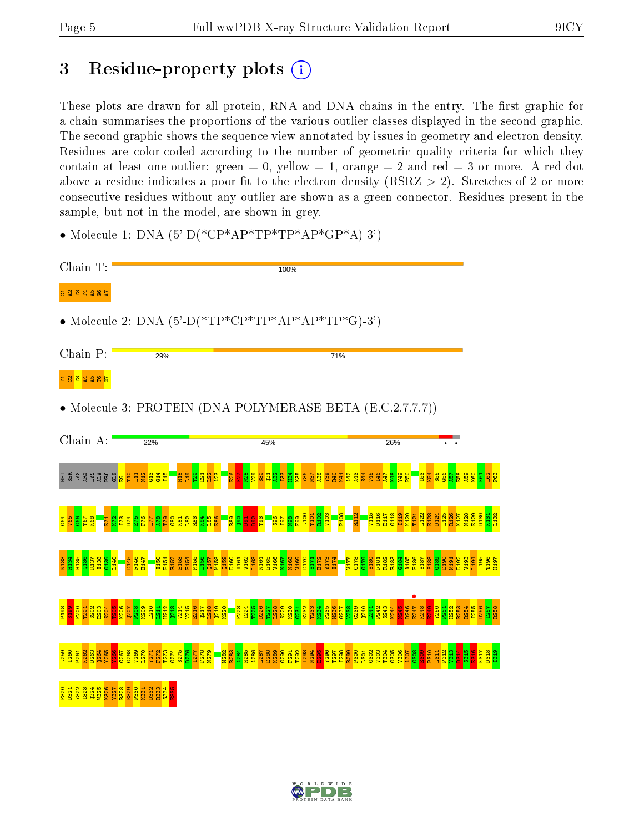## 3 Residue-property plots (i)

These plots are drawn for all protein, RNA and DNA chains in the entry. The first graphic for a chain summarises the proportions of the various outlier classes displayed in the second graphic. The second graphic shows the sequence view annotated by issues in geometry and electron density. Residues are color-coded according to the number of geometric quality criteria for which they contain at least one outlier: green  $= 0$ , yellow  $= 1$ , orange  $= 2$  and red  $= 3$  or more. A red dot above a residue indicates a poor fit to the electron density (RSRZ  $> 2$ ). Stretches of 2 or more consecutive residues without any outlier are shown as a green connector. Residues present in the sample, but not in the model, are shown in grey.

• Molecule 1: DNA  $(5^{\circ}$ -D(\*CP\*AP\*TP\*TP\*AP\*GP\*A)-3')

| Chain T:                                                                                                  | 100%                                                                                                                                                                                       |  |  |  |  |  |  |  |  |
|-----------------------------------------------------------------------------------------------------------|--------------------------------------------------------------------------------------------------------------------------------------------------------------------------------------------|--|--|--|--|--|--|--|--|
| <b>B282485</b>                                                                                            |                                                                                                                                                                                            |  |  |  |  |  |  |  |  |
| • Molecule 2: DNA $(5^{\circ}-D(*TP*CP*TP*AP*AP*TP*G)-3^{\circ})$                                         |                                                                                                                                                                                            |  |  |  |  |  |  |  |  |
| Chain P:                                                                                                  | 29%<br>71%                                                                                                                                                                                 |  |  |  |  |  |  |  |  |
| <mark>ដ ន <mark>ដ ង</mark> ង ង <mark>ទ</mark></mark>                                                      |                                                                                                                                                                                            |  |  |  |  |  |  |  |  |
|                                                                                                           | • Molecule 3: PROTEIN (DNA POLYMERASE BETA (E.C.2.7.7.7))                                                                                                                                  |  |  |  |  |  |  |  |  |
| Chain A:                                                                                                  | 22%<br>26%<br>45%                                                                                                                                                                          |  |  |  |  |  |  |  |  |
| <u>ធ្គ</u> ន្តខ្នង ខ្ន <u>ង <mark>ន</mark> ទី ដូ ទី ទី ដូ អ្ន</u>                                         | <b>Ba</b><br><mark>និ</mark> ង្គីនិន្ទីធ្លី<br>និង្គីនិត្ត<br>$\frac{8}{3}$<br>$\frac{85}{265}$<br>344                                                                                     |  |  |  |  |  |  |  |  |
|                                                                                                           |                                                                                                                                                                                            |  |  |  |  |  |  |  |  |
|                                                                                                           | <u>ងដូងមូងទីប្រទេសមូស្រី មិនទីទីនា</u><br><mark>ឯងដូងដូន ដូ</mark> ងអូន ដូ <mark>ង មិនទីទីនា</mark><br>sage 112<br><mark>Sage 112</mark><br><mark>ន្ល</mark> ិន្ទ្រី និ <mark>ន្</mark> លិ |  |  |  |  |  |  |  |  |
|                                                                                                           |                                                                                                                                                                                            |  |  |  |  |  |  |  |  |
|                                                                                                           |                                                                                                                                                                                            |  |  |  |  |  |  |  |  |
|                                                                                                           |                                                                                                                                                                                            |  |  |  |  |  |  |  |  |
|                                                                                                           |                                                                                                                                                                                            |  |  |  |  |  |  |  |  |
| ន្ត្រី<br>ន្ត្រី ដូន ដូន ន្ត្រី ដូន ន្ត្រី ដូន ន្ត្រី ដូន<br>ន្ត្រី ដូន ដូន ន្ត្រី ដូន ន្ត្រី ដូន នូន នូន |                                                                                                                                                                                            |  |  |  |  |  |  |  |  |

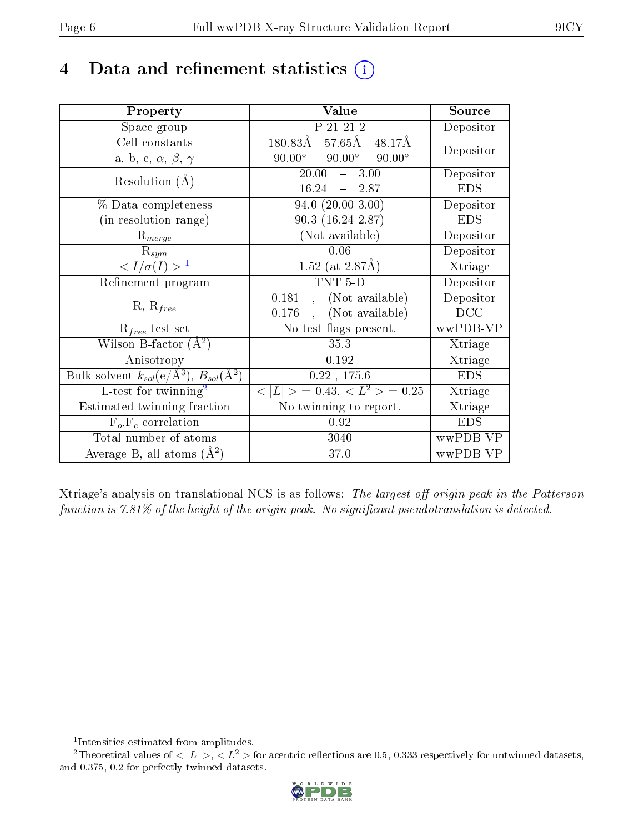## 4 Data and refinement statistics  $(i)$

| Property                                                         | Value                                             | Source     |
|------------------------------------------------------------------|---------------------------------------------------|------------|
| Space group                                                      | P 21 21 2                                         | Depositor  |
| Cell constants                                                   | 57.65Å 48.17Å<br>180.83Å                          | Depositor  |
| a, b, c, $\alpha$ , $\beta$ , $\gamma$                           | $90.00^\circ$<br>$90.00^{\circ}$<br>$90.00^\circ$ |            |
| Resolution $(A)$                                                 | $\overline{20.00}$<br>$-3.00$                     | Depositor  |
|                                                                  | 16.24<br>$-2.87$                                  | <b>EDS</b> |
| % Data completeness                                              | $94.0(20.00-3.00)$                                | Depositor  |
| (in resolution range)                                            | $90.3(16.24-2.87)$                                | <b>EDS</b> |
| $R_{merge}$                                                      | (Not available)                                   | Depositor  |
| $\mathbf{R}_{sym}$                                               | 0.06                                              | Depositor  |
| $\sqrt{I/\sigma}(I) > 1$                                         | 1.52 (at $2.87\text{\AA}$ )                       | Xtriage    |
| Refinement program                                               | TNT <sub>5</sub> D                                | Depositor  |
| $R, R_{free}$                                                    | 0.181<br>(Not available)<br>$\mathbf{A}$          | Depositor  |
|                                                                  | (Not available)<br>0.176                          | DCC        |
| $R_{free}$ test set                                              | No test flags present.                            | wwPDB-VP   |
| Wilson B-factor $(A^2)$                                          | 35.3                                              | Xtriage    |
| Anisotropy                                                       | 0.192                                             | Xtriage    |
| Bulk solvent $k_{sol}(\text{e}/\text{A}^3), B_{sol}(\text{A}^2)$ | 0.22, 175.6                                       | <b>EDS</b> |
| L-test for twinning <sup>2</sup>                                 | $< L >$ = 0.43, $< L2$ > = 0.25                   | Xtriage    |
| Estimated twinning fraction                                      | No twinning to report.                            | Xtriage    |
| $F_o, F_c$ correlation                                           | 0.92                                              | <b>EDS</b> |
| Total number of atoms                                            | 3040                                              | wwPDB-VP   |
| Average B, all atoms $(A^2)$                                     | 37.0                                              | wwPDB-VP   |

Xtriage's analysis on translational NCS is as follows: The largest off-origin peak in the Patterson function is  $7.81\%$  of the height of the origin peak. No significant pseudotranslation is detected.

<sup>&</sup>lt;sup>2</sup>Theoretical values of  $\langle |L| \rangle$ ,  $\langle L^2 \rangle$  for acentric reflections are 0.5, 0.333 respectively for untwinned datasets, and 0.375, 0.2 for perfectly twinned datasets.



<span id="page-5-1"></span><span id="page-5-0"></span><sup>1</sup> Intensities estimated from amplitudes.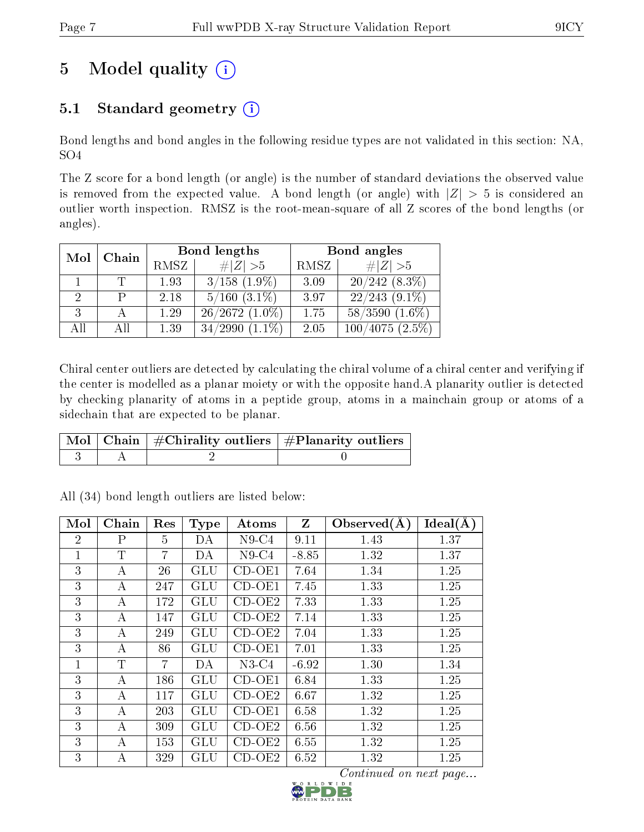## 5 Model quality  $(i)$

### 5.1 Standard geometry  $(i)$

Bond lengths and bond angles in the following residue types are not validated in this section: NA, SO4

The Z score for a bond length (or angle) is the number of standard deviations the observed value is removed from the expected value. A bond length (or angle) with  $|Z| > 5$  is considered an outlier worth inspection. RMSZ is the root-mean-square of all Z scores of the bond lengths (or angles).

|                             |     |             | Bond lengths         |      | Bond angles         |
|-----------------------------|-----|-------------|----------------------|------|---------------------|
| Chain<br>Mol                |     | <b>RMSZ</b> | # $ Z >5$            | RMSZ | # $ Z >5$           |
|                             |     | 1.93        | $3/158$ $(1.9\%)$    | 3.09 | $20/242(8.3\%)$     |
| $\mathcal{D}_{\mathcal{L}}$ | P   | 2.18        | $5/160$ $(3.1\%)$    | 3.97 | $22/243$ $(9.1\%)$  |
| 3                           |     | 1.29        | $26/2672(1.0\%)$     | 1.75 | $58/3590$ $(1.6\%)$ |
| All                         | Αll | 1.39        | $(1.1\%)$<br>34/2990 | 2.05 | $100/4075(2.5\%)$   |

Chiral center outliers are detected by calculating the chiral volume of a chiral center and verifying if the center is modelled as a planar moiety or with the opposite hand.A planarity outlier is detected by checking planarity of atoms in a peptide group, atoms in a mainchain group or atoms of a sidechain that are expected to be planar.

|  | $\lceil \, \text{Mol} \, \rceil$ Chain $\mid \# \text{Chirality outliers} \mid \# \text{Planarity outliers} \mid$ |
|--|-------------------------------------------------------------------------------------------------------------------|
|  |                                                                                                                   |

| Mol            | Chain        | Res            | <b>Type</b>  | Atoms               | Z       | Observed $(A)$ | Ideal(A) |
|----------------|--------------|----------------|--------------|---------------------|---------|----------------|----------|
| $\overline{2}$ | $\mathbf{P}$ | 5              | DA           | $N9$ -C4            | 9.11    | 1.43           | 1.37     |
| 1              | T            | $\overline{7}$ | DA           | $N9-C4$             | $-8.85$ | 1.32           | 1.37     |
| 3              | А            | 26             | GLU          | $CD-OE1$            | 7.64    | 1.34           | 1.25     |
| 3              | А            | 247            | <b>GLU</b>   | $CD-OE1$            | 7.45    | 1.33           | 1.25     |
| 3              | А            | 172            | GLU          | $CD-OE2$            | 7.33    | 1.33           | 1.25     |
| 3              | А            | 147            | GLU          | $CD-OE2$            | 7.14    | 1.33           | 1.25     |
| 3              | А            | 249            | GLU          | $CD-OE2$            | 7.04    | 1.33           | 1.25     |
| 3              | А            | 86             | GLU          | $CD-OE1$            | 7.01    | 1.33           | 1.25     |
| 1              | Т            | 7              | DA           | $N3-C4$             | $-6.92$ | 1.30           | 1.34     |
| 3              | А            | 186            | GLU          | $\overline{CD}-OE1$ | 6.84    | 1.33           | 1.25     |
| 3              | А            | 117            | <b>GLU</b>   | $CD-OE2$            | 6.67    | 1.32           | 1.25     |
| 3              | A            | 203            | GLU          | $CD-OE1$            | 6.58    | 1.32           | 1.25     |
| 3              | А            | 309            | GLU          | $CD-OE2$            | 6.56    | 1.32           | 1.25     |
| 3              | А            | 153            | GLU          | $CD-OE2$            | 6.55    | 1.32           | 1.25     |
| 3              | А            | 329            | $_{\rm GLU}$ | $CD-OE2$            | 6.52    | 1.32           | 1.25     |

All (34) bond length outliers are listed below:

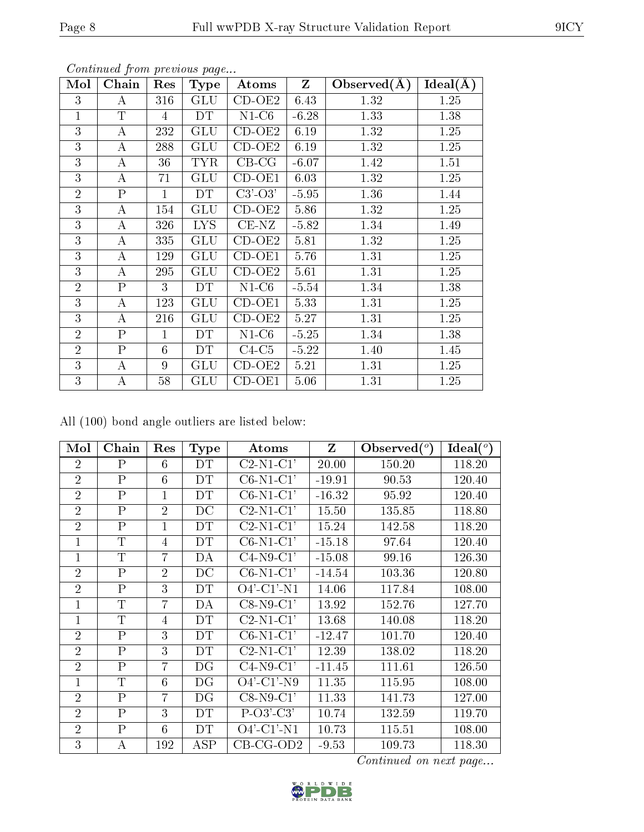| Mol            | Chain          | Res          | <b>Type</b> | Atoms                      | $\mathbf{Z}$ | Observed $(A)$ | Ideal(A) |
|----------------|----------------|--------------|-------------|----------------------------|--------------|----------------|----------|
| 3              | A              | 316          | GLU         | $\overline{\text{CD-OE2}}$ | 6.43         | 1.32           | 1.25     |
| $\mathbf{1}$   | T              | 4            | DT          | $N1-C6$                    | $-6.28$      | 1.33           | 1.38     |
| 3              | $\bf{A}$       | 232          | <b>GLU</b>  | $\overline{CD}$ -OE2       | 6.19         | 1.32           | 1.25     |
| 3              | A              | 288          | <b>GLU</b>  | $CD-OE2$                   | 6.19         | 1.32           | 1.25     |
| 3              | А              | 36           | <b>TYR</b>  | $CB-CG$                    | $-6.07$      | 1.42           | 1.51     |
| 3              | А              | 71           | <b>GLU</b>  | $CD-OE1$                   | 6.03         | 1.32           | 1.25     |
| $\overline{2}$ | $\overline{P}$ | $\mathbf{1}$ | DT          | $C3'-O3'$                  | $-5.95$      | 1.36           | 1.44     |
| 3              | $\bf{A}$       | 154          | GLU         | $CD-OE2$                   | 5.86         | 1.32           | 1.25     |
| 3              | А              | 326          | <b>LYS</b>  | $CE-NZ$                    | $-5.82$      | 1.34           | 1.49     |
| 3              | A              | 335          | GLU         | $CD-OE2$                   | 5.81         | 1.32           | 1.25     |
| 3              | Α              | 129          | <b>GLU</b>  | $CD-OE1$                   | 5.76         | 1.31           | 1.25     |
| 3              | А              | 295          | GLU         | $CD-OE2$                   | 5.61         | 1.31           | 1.25     |
| $\overline{2}$ | $\mathbf P$    | 3            | DT          | $N1-C6$                    | $-5.54$      | 1.34           | 1.38     |
| 3              | A              | 123          | GLU         | $CD-OE1$                   | 5.33         | 1.31           | 1.25     |
| 3              | А              | 216          | <b>GLU</b>  | $\overline{\text{CD-OE2}}$ | 5.27         | 1.31           | 1.25     |
| $\overline{2}$ | $\mathbf P$    | $\mathbf{1}$ | DT          | $N1-C6$                    | $-5.25$      | 1.34           | 1.38     |
| $\overline{2}$ | $\overline{P}$ | 6            | DT          | $C4-C5$                    | $-5.22$      | 1.40           | 1.45     |
| 3              | А              | 9            | GLU         | $CD-OE2$                   | 5.21         | 1.31           | 1.25     |
| 3              | A              | 58           | GLU         | $CD-OE1$                   | 5.06         | 1.31           | 1.25     |

All (100) bond angle outliers are listed below:

| Mol            | Chain          | Res            | <b>Type</b>          | Atoms                   | Z        | Observed $(°)$ | Ideal (°) |
|----------------|----------------|----------------|----------------------|-------------------------|----------|----------------|-----------|
| $\overline{2}$ | $\mathsf{P}$   | 6              | DT                   | $C2-N1-C1'$             | 20.00    | 150.20         | 118.20    |
| $\overline{2}$ | $\overline{P}$ | 6              | DT                   | $C6-N1-C1'$             | $-19.91$ | 90.53          | 120.40    |
| $\overline{2}$ | Ρ              | 1              | DT                   | $C6-N1-C1'$             | $-16.32$ | 95.92          | 120.40    |
| $\overline{2}$ | $\overline{P}$ | $\overline{2}$ | DC                   | $C2-N1-C1'$             | 15.50    | 135.85         | 118.80    |
| $\overline{2}$ | $\overline{P}$ | 1              | DT                   | $C2-N1-C1'$             | 15.24    | 142.58         | 118.20    |
| $\mathbf{1}$   | T              | 4              | DT                   | $C6-N1-C1'$             | $-15.18$ | 97.64          | 120.40    |
| $\overline{1}$ | $\mathbf T$    | $\overline{7}$ | DA                   | $C4-N9-C1'$             | $-15.08$ | 99.16          | 126.30    |
| $\overline{2}$ | $\overline{P}$ | $\overline{2}$ | DC                   | $C6-N1-C1'$             | $-14.54$ | 103.36         | 120.80    |
| $\overline{2}$ | $\overline{P}$ | 3              | DT                   | $O4'$ -C1'-N1           | 14.06    | 117.84         | 108.00    |
| $\mathbf 1$    | $\mathbf T$    | 7              | DA                   | $C8-N9-C1'$             | 13.92    | 152.76         | 127.70    |
| $\mathbf{1}$   | $\mathbf T$    | $\overline{4}$ | DT                   | $C2-N1-C1'$             | 13.68    | 140.08         | 118.20    |
| $\overline{2}$ | Ρ              | 3              | DT                   | $C6-N1-C1'$             | $-12.47$ | 101.70         | 120.40    |
| $\overline{2}$ | $\overline{P}$ | 3              | DT                   | $C2-N1-C1'$             | 12.39    | 138.02         | 118.20    |
| $\overline{2}$ | $\overline{P}$ | $\overline{7}$ | DG                   | $\overline{C}$ 4-N9-C1' | $-11.45$ | 111.61         | 126.50    |
| 1              | T              | 6              | DG                   | $O4'$ -C1'-N9           | 11.35    | 115.95         | 108.00    |
| $\overline{2}$ | $\overline{P}$ | 7              | DG                   | $C8-N9-C1'$             | 11.33    | 141.73         | 127.00    |
| $\overline{2}$ | $\mathsf{P}$   | 3              | DT                   | $P-O3'-C3'$             | 10.74    | 132.59         | 119.70    |
| $\overline{2}$ | Ρ              | 6              | DT                   | $O4'$ -C1'-N1           | 10.73    | 115.51         | 108.00    |
| 3              | А              | 192            | $\operatorname{ASP}$ | $CB-CG-OD2$             | $-9.53$  | 109.73         | 118.30    |

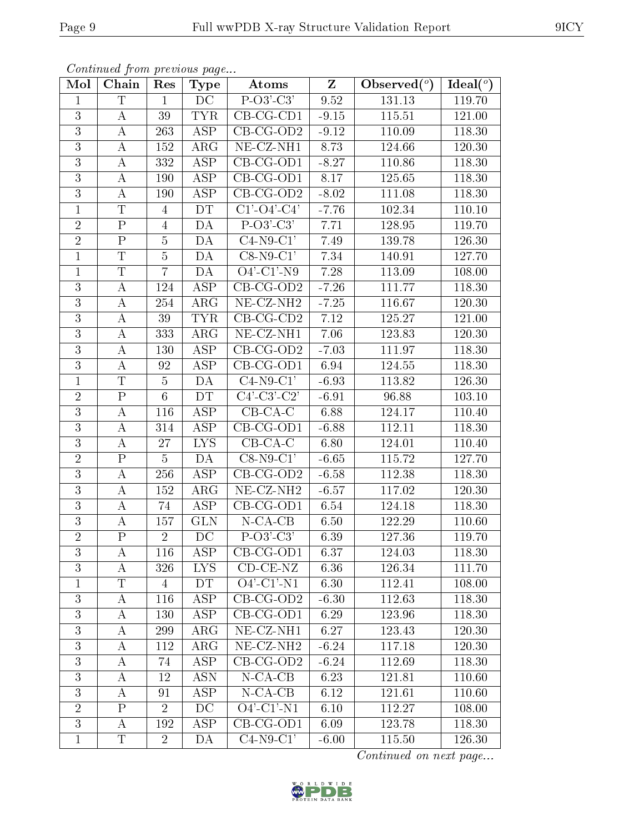| Mol            | Chain                     | Res            | <b>Type</b>             | Atoms                                | $\mathbf{Z}$ | Observed $(°)$ | Ideal $(°)$         |
|----------------|---------------------------|----------------|-------------------------|--------------------------------------|--------------|----------------|---------------------|
| $\mathbf{1}$   | $\overline{T}$            | $\mathbf{1}$   | $\overline{\text{DC}}$  | $\overline{P-O3'-C3'}$               | 9.52         | 131.13         | 119.70              |
| 3              | A                         | 39             | <b>TYR</b>              | $CB-CG-CD1$                          | $-9.15$      | 115.51         | 121.00              |
| $\overline{3}$ | А                         | 263            | $\overline{\text{ASP}}$ | $CB-CG-OD2$                          | $-9.12$      | 110.09         | 118.30              |
| $\overline{3}$ | A                         | 152            | ARG                     | NE-CZ-NH1                            | 8.73         | 124.66         | 120.30              |
| $\overline{3}$ | A                         | 332            | $\overline{\text{ASP}}$ | $CB-CG-OD1$                          | $-8.27$      | 110.86         | 118.30              |
| 3              | A                         | 190            | ASP                     | $CB-CG-OD1$                          | 8.17         | 125.65         | 118.30              |
| 3              | $\boldsymbol{A}$          | 190            | ASP                     | $CB-CG-OD2$                          | $-8.02$      | 111.08         | 118.30              |
| $\mathbf{1}$   | $\overline{T}$            | $\overline{4}$ | DT                      | $C1'$ -O4'-C4'                       | $-7.76$      | 102.34         | 110.10              |
| $\overline{2}$ | ${\bf P}$                 | $\overline{4}$ | DA                      | $P-O3'-C3'$                          | 7.71         | 128.95         | 119.70              |
| $\overline{2}$ | $\overline{P}$            | $\overline{5}$ | DA                      | $C4-N9-C1'$                          | 7.49         | 139.78         | 126.30              |
| $\mathbf{1}$   | $\mathbf T$               | $\overline{5}$ | DA                      | $C8-N9-C1'$                          | 7.34         | 140.91         | 127.70              |
| $\mathbf{1}$   | $\overline{\mathrm{T}}$   | $\overline{7}$ | DA                      | $\overline{O4'-C1'-N9}$              | 7.28         | 113.09         | 108.00              |
| 3              | $\boldsymbol{A}$          | 124            | ASP                     | $\overline{\text{CB}-\text{CG-OD2}}$ | $-7.26$      | 111.77         | 118.30              |
| 3              | $\boldsymbol{A}$          | 254            | $\rm{ARG}$              | $NE- CZ-NH2$                         | $-7.25$      | 116.67         | 120.30              |
| $\overline{3}$ | $\boldsymbol{A}$          | 39             | <b>TYR</b>              | $CB-CG-CD2$                          | $7.12\,$     | 125.27         | 121.00              |
| 3              | $\boldsymbol{A}$          | 333            | $\rm{ARG}$              | NE-CZ-NH1                            | 7.06         | 123.83         | 120.30              |
| 3              | $\boldsymbol{A}$          | 130            | ASP                     | $CB-CG-OD2$                          | $-7.03$      | 111.97         | 118.30              |
| 3              | A                         | 92             | ASP                     | $CB-CG-OD1$                          | 6.94         | 124.55         | 118.30              |
| $\mathbf{1}$   | T                         | $\overline{5}$ | DA                      | $C4-N9-C1'$                          | $-6.93$      | 113.82         | 126.30              |
| $\overline{2}$ | $\overline{P}$            | $\overline{6}$ | DT                      | $C4'-C3'-C2'$                        | $-6.91$      | 96.88          | 103.10              |
| 3              | $\boldsymbol{A}$          | 116            | ASP                     | $CB-CA-C$                            | 6.88         | 124.17         | 110.40              |
| $\overline{3}$ | A                         | 314            | $\overline{\text{ASP}}$ | $CB-CG-OD1$                          | $-6.88$      | 112.11         | 118.30              |
| 3              | A                         | 27             | <b>LYS</b>              | $CB-CA-C$                            | 6.80         | 124.01         | 110.40              |
| $\overline{2}$ | $\overline{\mathrm{P}}$   | $\overline{5}$ | DA                      | $C8-N9-C1'$                          | $-6.65$      | 115.72         | $\overline{1}27.70$ |
| $\overline{3}$ | А                         | 256            | ASP                     | $CB-CG-OD2$                          | $-6.58$      | 112.38         | 118.30              |
| 3              | А                         | 152            | $\rm{ARG}$              | $NE- CZ-NH2$                         | $-6.57$      | 117.02         | 120.30              |
| $\mathbf{3}$   | A                         | 74             | ASP                     | $CB-CG-OD1$                          | 6.54         | 124.18         | 118.30              |
| 3              | А                         | 157            | <b>GLN</b>              | $N$ -CA-CB                           | 6.50         | 122.29         | 110.60              |
| $\overline{2}$ | $\overline{\mathrm{P}}$   | $\overline{2}$ | DC                      | $\overline{P-O3'-C3'}$               | 6.39         | 127.36         | 119.70              |
| 3              | А                         | 116            | ASP                     | $CB-CG-OD1$                          | 6.37         | 124.03         | 118.30              |
| 3              | Α                         | 326            | <b>LYS</b>              | $CD-CE-NZ$                           | 6.36         | 126.34         | 111.70              |
| $\mathbf{1}$   | T                         | 4              | DT.                     | $O4'$ -C1'-N1                        | 6.30         | 112.41         | 108.00              |
| 3              | A                         | 116            | <b>ASP</b>              | $CB-CG-OD2$                          | $-6.30$      | 112.63         | 118.30              |
| 3              | A                         | 130            | $\overline{\text{ASP}}$ | CB-CG-OD1                            | 6.29         | 123.96         | 118.30              |
| 3              | A                         | 299            | $\rm{ARG}$              | NE-CZ-NH1                            | 6.27         | 123.43         | 120.30              |
| 3              | А                         | 112            | $\rm{ARG}$              | NE-CZ-NH <sub>2</sub>                | $-6.24$      | 117.18         | 120.30              |
| 3              | A                         | 74             | <b>ASP</b>              | $CB-CG-OD2$                          | $-6.24$      | 112.69         | 118.30              |
| $\mathfrak{Z}$ | A                         | 12             | <b>ASN</b>              | $N$ -CA-CB                           | 6.23         | 121.81         | 110.60              |
| 3              | А                         | 91             | $A\overline{SP}$        | $N$ -CA-CB                           | 6.12         | 121.61         | 110.60              |
| $\overline{2}$ | $\boldsymbol{\mathrm{P}}$ | $\overline{2}$ | DC                      | $O4'$ -C1'-N1                        | 6.10         | 112.27         | 108.00              |
| 3              | A                         | 192            | ASP                     | $CB-CG-OD1$                          | 6.09         | 123.78         | 118.30              |
| $\mathbf{1}$   | T                         | $\overline{2}$ | DA                      | $C4-N9-C1'$                          | $-6.00$      | 115.50         | 126.30              |

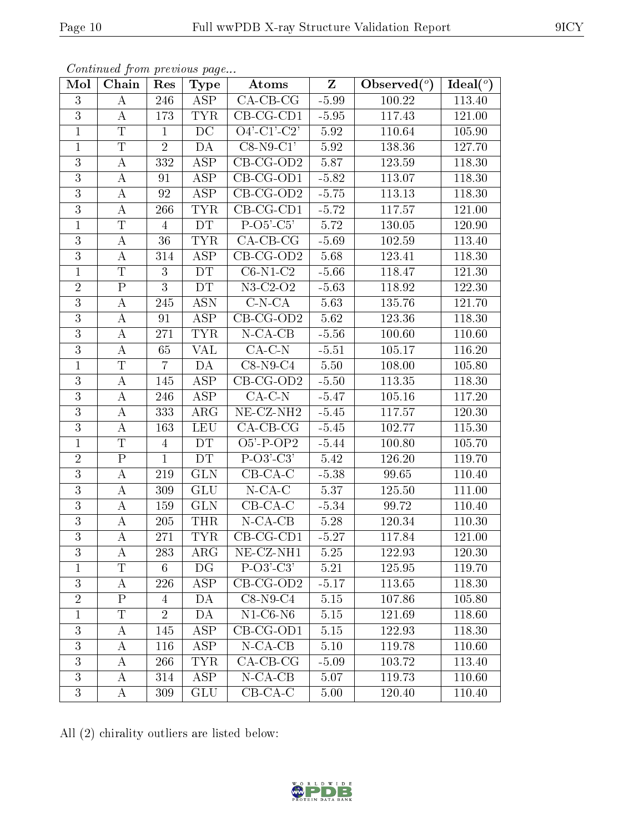| Mol            | Chain                   | Res            | <b>Type</b>             | Atoms                                      | $\mathbf{Z}$ | Observed $(°)$ | Ideal(°)            |
|----------------|-------------------------|----------------|-------------------------|--------------------------------------------|--------------|----------------|---------------------|
| $\overline{3}$ | $\bf{A}$                | 246            | ASP                     | $\overline{CA-CB-CG}$                      | $-5.99$      | 100.22         | 113.40              |
| 3              | A                       | 173            | TYR                     | $CB-CG-CD1$                                | $-5.95$      | 117.43         | 121.00              |
| $\mathbf{1}$   | $\overline{T}$          | $\mathbf{1}$   | $\overline{DC}$         | $O4' - C1' - C2'$                          | 5.92         | 110.64         | 105.90              |
| $\mathbf{1}$   | $\mathbf T$             | $\overline{2}$ | DA                      | $C8-N9-C1'$                                | 5.92         | 138.36         | 127.70              |
| $\overline{3}$ | $\boldsymbol{A}$        | 332            | $\overline{\text{ASP}}$ | $CB-CG-OD2$                                | 5.87         | 123.59         | 118.30              |
| 3              | $\bf{A}$                | 91             | ASP                     | $CB-CG-OD1$                                | $-5.82$      | 113.07         | 118.30              |
| $\overline{3}$ | $\boldsymbol{A}$        | 92             | <b>ASP</b>              | CB-CG-OD2                                  | $-5.75$      | 113.13         | 118.30              |
| $\overline{3}$ | А                       | 266            | <b>TYR</b>              | $CB-CG-CD1$                                | $-5.72$      | 117.57         | 121.00              |
| $\overline{1}$ | $\mathbf T$             | $\overline{4}$ | DT                      | $P-O5'-C5'$                                | 5.72         | 130.05         | 120.90              |
| $\overline{3}$ | $\bf{A}$                | 36             | <b>TYR</b>              | $CA$ -CB-CG                                | $-5.69$      | 102.59         | 113.40              |
| 3              | А                       | 314            | <b>ASP</b>              | $CB-CG-OD2$                                | 5.68         | 123.41         | 118.30              |
| $\mathbf{1}$   | $\mathbf T$             | 3              | DT                      | $C6-N1-C2$                                 | $-5.66$      | 118.47         | 121.30              |
| $\overline{2}$ | $\rm P$                 | 3              | <b>DT</b>               | $N3-C2-O2$                                 | $-5.63$      | 118.92         | 122.30              |
| 3              | $\bf{A}$                | 245            | <b>ASN</b>              | $C-N-CA$                                   | 5.63         | 135.76         | 121.70              |
| $\overline{3}$ | A                       | 91             | ASP                     | $CB-CG-OD2$                                | 5.62         | 123.36         | 118.30              |
| $\mathfrak{Z}$ | $\bf{A}$                | 271            | <b>TYR</b>              | $N$ -CA-CB                                 | $-5.56$      | 100.60         | 110.60              |
| 3              | A                       | 65             | VAL                     | $CA-C-N$                                   | $-5.51$      | 105.17         | 116.20              |
| $\mathbf{1}$   | $\mathbf T$             | $\overline{7}$ | DA                      | $C8-N9-C4$                                 | 5.50         | 108.00         | 105.80              |
| 3              | $\bf{A}$                | 145            | <b>ASP</b>              | $CB-CG-OD2$                                | $-5.50$      | 113.35         | 118.30              |
| $\overline{3}$ | $\boldsymbol{A}$        | 246            | <b>ASP</b>              | $CA-C-N$                                   | $-5.47$      | 105.16         | 117.20              |
| 3              | $\bf{A}$                | 333            | $\rm{ARG}$              | $\overline{\text{NE}}$ -CZ-NH <sub>2</sub> | $-5.45$      | 117.57         | 120.30              |
| $\overline{3}$ | $\bf{A}$                | 163            | <b>LEU</b>              | $CA$ -CB-CG                                | $-5.45$      | 102.77         | $\overline{115.30}$ |
| $\mathbf{1}$   | T                       | 4              | DT                      | $O5'$ -P-OP2                               | $-5.44$      | 100.80         | 105.70              |
| $\overline{2}$ | $\overline{\mathrm{P}}$ | $\mathbf{1}$   | DT                      | $\overline{P-O3'-C3'}$                     | 5.42         | 126.20         | 119.70              |
| $\overline{3}$ | $\bf{A}$                | 219            | <b>GLN</b>              | $CB-CA-C$                                  | $-5.38$      | 99.65          | 110.40              |
| 3              | А                       | 309            | <b>GLU</b>              | $N$ -CA-C                                  | 5.37         | 125.50         | 111.00              |
| $\overline{3}$ | А                       | 159            | <b>GLN</b>              | $CB-CA-C$                                  | $-5.34$      | 99.72          | 110.40              |
| $\overline{3}$ | А                       | 205            | <b>THR</b>              | $N$ -CA-CB                                 | 5.28         | 120.34         | 110.30              |
| $\overline{3}$ | $\boldsymbol{A}$        | 271            | <b>TYR</b>              | $CB-CG-CD1$                                | $-5.27$      | 117.84         | 121.00              |
| 3              | A                       | 283            | ARG                     | $NE- CZ-NH1$                               | $5.25\,$     | 122.93         | 120.30              |
| 1              | T                       | 6              | DG                      | $P-O3'-C3'$                                | 5.21         | 125.95         | 119.70              |
| 3              | A                       | 226            | ASP                     | $CB-CG-OD2$                                | $-5.17$      | 113.65         | 118.30              |
| $\overline{2}$ | $\mathbf{P}$            | $\overline{4}$ | DA                      | $C8-N9-C4$                                 | 5.15         | 107.86         | 105.80              |
| $\mathbf{1}$   | $\overline{T}$          | $\overline{2}$ | DA                      | $N1-C6-N6$                                 | $5.15\,$     | 121.69         | 118.60              |
| $\overline{3}$ | A                       | 145            | ASP                     | $CB-CG-OD1$                                | 5.15         | 122.93         | 118.30              |
| 3              | A                       | 116            | ASP                     | $N-CA-CB$                                  | 5.10         | 119.78         | 110.60              |
| 3              | A                       | 266            | <b>TYR</b>              | $CA$ -CB-CG                                | $-5.09$      | 103.72         | 113.40              |
| 3              | A                       | 314            | <b>ASP</b>              | $N$ -CA-CB                                 | 5.07         | 119.73         | 110.60              |
| $\overline{3}$ | $\bf{A}$                | 309            | GLU                     | $CB-CA-C$                                  | $5.00\,$     | 120.40         | 110.40              |

All (2) chirality outliers are listed below:

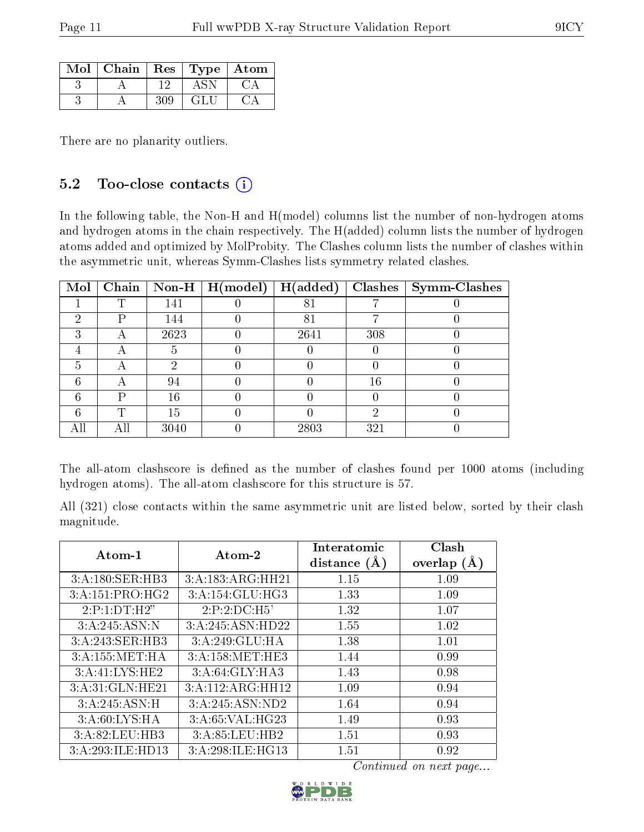| $Mol$   Chain   Res   Type   Atom |     |      |  |
|-----------------------------------|-----|------|--|
|                                   | 19  |      |  |
|                                   | 304 | - GF |  |

There are no planarity outliers.

#### 5.2 Too-close contacts  $(i)$

In the following table, the Non-H and H(model) columns list the number of non-hydrogen atoms and hydrogen atoms in the chain respectively. The H(added) column lists the number of hydrogen atoms added and optimized by MolProbity. The Clashes column lists the number of clashes within the asymmetric unit, whereas Symm-Clashes lists symmetry related clashes.

| Mol |     |      |      |     | Chain   Non-H   H(model)   H(added)   Clashes   Symm-Clashes |
|-----|-----|------|------|-----|--------------------------------------------------------------|
|     | ௱   | 141  | 81   |     |                                                              |
| 9   | P   | 144  | 81   |     |                                                              |
| З   | Α   | 2623 | 2641 | 308 |                                                              |
|     |     |      |      |     |                                                              |
| h.  | А   | 6)   |      |     |                                                              |
|     | Α   | 94   |      | 16  |                                                              |
|     |     | 16   |      |     |                                                              |
|     | ௱   | 15   |      | റ   |                                                              |
| All | Αll | 3040 | 2803 | 321 |                                                              |

The all-atom clashscore is defined as the number of clashes found per 1000 atoms (including hydrogen atoms). The all-atom clashscore for this structure is 57.

All (321) close contacts within the same asymmetric unit are listed below, sorted by their clash magnitude.

| Atom-1           | Atom-2                       | Interatomic<br>distance $(A)$ | Clash<br>overlap $(A)$ |
|------------------|------------------------------|-------------------------------|------------------------|
| 3:A:180:SER:HB3  | 3:A:183:ARG:HH21             | 1.15                          | 1.09                   |
| 3:A:151:PRO:HG2  | $3:A:154:GLU:H\overline{G3}$ | 1.33                          | 1.09                   |
| 2:P:1:DT:H2"     | 2:P:2:D C:H5'                | 1.32                          | 1.07                   |
| 3:A:245:ASN:N    | 3:A:245:ASN:HD22             | 1.55                          | 1.02                   |
| 3:A:243:SER:HB3  | 3:A:249:GLU:HA               | 1.38                          | 1.01                   |
| 3:A:155:MET:HA   | 3:A:158:MET:HE3              | 1.44                          | 0.99                   |
| 3:A:41:LYS:HE2   | 3:A:64:GLY:HA3               | 1.43                          | 0.98                   |
| 3:A:31:GLN:HE21  | 3:A:112:ARG:HH12             | 1.09                          | 0.94                   |
| 3:A:245:ASN:H    | 3:A:245:ASN:ND2              | 1.64                          | 0.94                   |
| 3: A:60: LYS: HA | 3:A:65:VAL:HG23              | 1.49                          | 0.93                   |
| 3:A:82:LEU:HB3   | 3:A:85:LEU:HB2               | 1.51                          | 0.93                   |
| 3:A:293:ILE:HD13 | 3:A:298:ILE:HG13             | 1.51                          | 0.92                   |

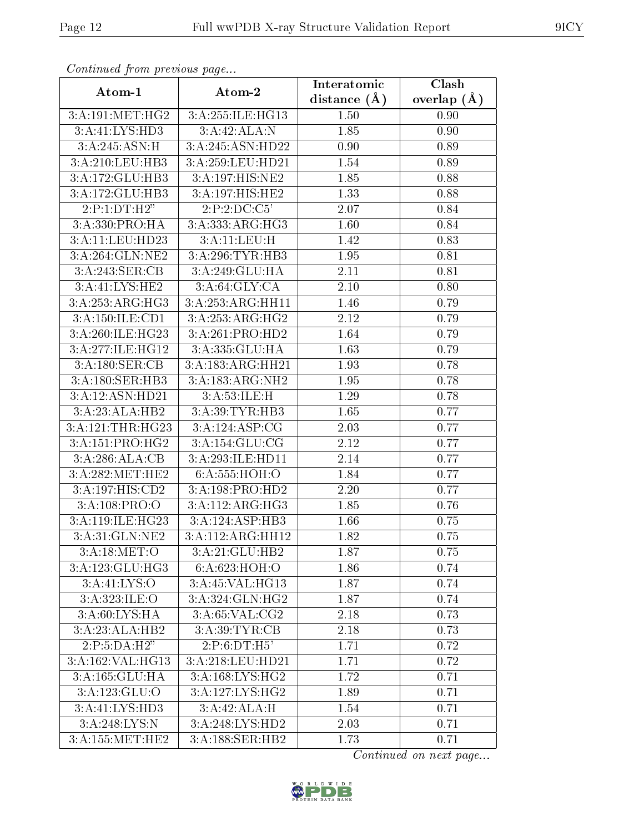| сонинией јтот ртеоючъ раде |                               | Interatomic    | Clash           |
|----------------------------|-------------------------------|----------------|-----------------|
| Atom-1                     | Atom-2                        | distance $(A)$ | overlap $(\AA)$ |
| 3:A:191:MET:HG2            | 3:A:255:ILE:HG13              | 1.50           | 0.90            |
| 3:A:41:LYS:HD3             | 3:A:42:ALA:N                  | 1.85           | 0.90            |
| 3:A:245:ASN:H              | 3:A:245:ASN:HD22              | 0.90           | 0.89            |
| 3:A:210:LEU:HB3            | 3:A:259:LEU:HD21              | 1.54           | 0.89            |
| 3:A:172:GLU:HB3            | 3:A:197:HIS:NE2               | 1.85           | 0.88            |
| 3:A:172:GLU:HB3            | 3:A:197:HIS:HE2               | 1.33           | 0.88            |
| 2:P:1:DT:H2"               | 2:P:2:DC:C5'                  | 2.07           | 0.84            |
| 3:A:330:PRO:HA             | $3:A:333:ARG:H\overline{G3}$  | 1.60           | 0.84            |
| 3:A:11:LEU:HD23            | 3:A:11:LEU:H                  | 1.42           | 0.83            |
| 3:A:264:GLN:NE2            | 3:A:296:TYR:HB3               | 1.95           | 0.81            |
| 3:A:243:SER:CB             | 3:A:249:GLU:HA                | 2.11           | 0.81            |
| 3:A:41:LYS:HE2             | 3:A:64:GLY:CA                 | 2.10           | 0.80            |
| 3:A:253:ARG:HG3            | 3:A:253:ARG:HH11              | 1.46           | 0.79            |
| 3:A:150:ILE:CD1            | 3:A:253:ARG:HG2               | 2.12           | 0.79            |
| 3:A:260:ILE:HG23           | 3:A:261:PRO:HD2               | 1.64           | 0.79            |
| 3:A:277:ILE:HG12           | 3:A:335:GLU:HA                | 1.63           | 0.79            |
| 3:A:180:SER:CB             | 3:A:183:ARG:HH21              | 1.93           | 0.78            |
| 3:A:180:SER:HB3            | 3:A:183:ARG:NH2               | 1.95           | 0.78            |
| 3:A:12:ASN:HD21            | 3:A:53:ILE:H                  | 1.29           | 0.78            |
| 3:A:23:ALA:HB2             | 3:A:39:TYR:HB3                | 1.65           | 0.77            |
| 3:A:121:THR:HG23           | 3:A:124:ASP:CG                | 2.03           | 0.77            |
| 3:A:151:PRO:HG2            | 3:A:154:GLU:CG                | 2.12           | 0.77            |
| 3:A:286:ALA:CB             | 3:A:293:ILE:HD11              | 2.14           | 0.77            |
| 3:A:282:MET:HE2            | 6:A:555:HOH:O                 | 1.84           | 0.77            |
| 3:A:197:HIS:CD2            | 3:A:198:PRO:HD2               | 2.20           | 0.77            |
| 3:A:108:PRO:O              | 3:A:112:ARG:HG3               | 1.85           | 0.76            |
| 3:A:119:ILE:HG23           | 3:A:124:ASP:HB3               | 1.66           | 0.75            |
| 3:A:31:GLN:NE2             | $3:A:112:ARG:H\overline{H12}$ | 1.82           | 0.75            |
| 3: A:18: MET:O             | 3:A:21:GLU:HB2                | 1.87           | 0.75            |
| 3:A:123:GLU:HG3            | 6:A:623:HOH:O                 | 1.86           | 0.74            |
| 3: A: 41: LYS: O           | 3:A:45:VAL:HG13               | 1.87           | 0.74            |
| 3: A:323: ILE: O           | 3:A:324:GLN:HG2               | 1.87           | 0.74            |
| 3: A:60: LYS: HA           | 3: A:65: VAL: CG2             | 2.18           | 0.73            |
| 3:A:23:ALA:HB2             | 3:A:39:TYR:CB                 | 2.18           | 0.73            |
| 2:P:5:DA:H2"               | 2:P:6:DT:H5'                  | 1.71           | 0.72            |
| 3:A:162:VAL:HG13           | 3:A:218:LEU:HD21              | 1.71           | 0.72            |
| 3:A:165:GLU:HA             | 3:A:168:LYS:HG2               | 1.72           | 0.71            |
| 3:A:123:GLU:O              | $3:A:127:\overline{LYS:HG2}$  | 1.89           | 0.71            |
| 3:A:41:LYS:HD3             | 3:A:42:ALA:H                  | 1.54           | 0.71            |
| 3:A:248:LYS:N              | 3:A:248:LYS:HD2               | 2.03           | 0.71            |
| $3:A:155:\text{MET:HE2}$   | 3:A:188:SER:HB2               | 1.73           | 0.71            |

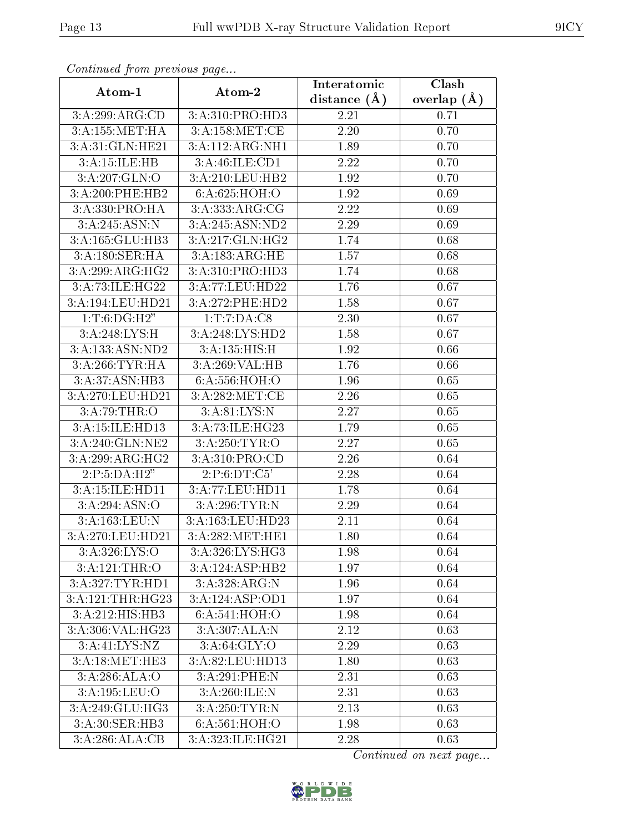| Continuea jiom previous page |                             | Interatomic    | Clash         |  |
|------------------------------|-----------------------------|----------------|---------------|--|
| Atom-1                       | Atom-2                      | distance $(A)$ | overlap $(A)$ |  |
| 3:A:299:ARG:CD               | 3:A:310:PRO:H <sub>D3</sub> | 2.21           | 0.71          |  |
| 3: A: 155: MET:HA            | 3:A:158:MET:CE              | 2.20           | 0.70          |  |
| 3:A:31:GLN:HE21              | 3:A:112:ARG:NH1             | 1.89           | 0.70          |  |
| 3:A:15:ILE:HB                | 3:A:46:ILE:CD1              | 2.22           | 0.70          |  |
| 3:A:207:GLN:O                | 3:A:210:LEU:HB2             | 1.92           | 0.70          |  |
| 3:A:200:PHE:HB2              | 6:A:625:HOH:O               | 1.92           | 0.69          |  |
| 3:A:330:PRO:HA               | 3: A: 333: ARG: CG          | 2.22           | 0.69          |  |
| 3:A:245:ASN:N                | 3:A:245:ASN:ND2             | 2.29           | 0.69          |  |
| 3:A:165:GLU:HB3              | 3:A:217:GLN:HG2             | 1.74           | 0.68          |  |
| 3:A:180:SER:HA               | 3:A:183:ARG:HE              | 1.57           | 0.68          |  |
| 3:A:299:ARG:HG2              | 3:A:310:PRO:HD3             | 1.74           | 0.68          |  |
| 3:A:73:ILE:HG22              | 3:A:77:LEU:HD22             | 1.76           | 0.67          |  |
| 3:A:194:LEU:HD21             | 3:A:272:PHE:HD2             | 1.58           | 0.67          |  |
| 1: T:6: DG:H2"               | 1: T: 7: DA: C8             | 2.30           | 0.67          |  |
| 3:A:248:LYS:H                | 3:A:248:LYS:HD2             | 1.58           | 0.67          |  |
| 3:A:133:ASN:ND2              | 3:A:135:HIS:H               | 1.92           | 0.66          |  |
| 3:A:266:TYR:HA               | 3:A:269:VAL:HB              | 1.76           | 0.66          |  |
| 3:A:37:ASN:HB3               | 6:A:556:HOH:O               | 1.96           | 0.65          |  |
| 3:A:270:LEU:HD21             | 3:A:282:MET:CE              | 2.26           | 0.65          |  |
| 3:A:79:THR:O                 | 3: A:81:LYS:N               | 2.27           | 0.65          |  |
| 3:A:15:ILE:HD13              | 3:A:73:ILE:HG23             | 1.79           | 0.65          |  |
| 3:A:240:GLN:NE2              | 3:A:250:TYR:O               | 2.27           | 0.65          |  |
| 3:A:299:ARG:HG2              | 3:A:310:PRO:CD              | 2.26           | 0.64          |  |
| 2:P:5:DA:H2"                 | 2: P: 6: DT: C5'            | 2.28           | 0.64          |  |
| 3:A:15:ILE:HD11              | 3:A:77:LEU:HD11             | 1.78           | 0.64          |  |
| 3: A:294: ASN:O              | 3:A:296:TYR:N               | 2.29           | 0.64          |  |
| 3:A:163:LEU:N                | 3:A:163:LEU:HD23            | 2.11           | 0.64          |  |
| 3:A:270:LEU:HD21             | 3:A:282:MET:HE1             | 1.80           | 0.64          |  |
| 3:A:326:LYS:O                | 3:A:326:LYS:HG3             | 1.98           | 0.64          |  |
| 3:A:121:THR:O                | 3:A:124:ASP:HB2             | 1.97           | 0.64          |  |
| 3: A:327: TYR: HD1           | 3:A:328:ARG:N               | 1.96           | 0.64          |  |
| 3:A:121:THR:HG23             | 3:A:124:ASP:OD1             | 1.97           | 0.64          |  |
| 3:A:212:HIS:HB3              | 6:A:541:HOH:O               | 1.98           | 0.64          |  |
| 3: A:306: VAL:HG23           | 3:A:307:ALA:N               | 2.12           | 0.63          |  |
| 3:A:41:LYS:NZ                | 3: A:64: GLY:O              | 2.29           | 0.63          |  |
| 3:A:18:MET:HE3               | 3:A:82:LEU:HD13             | 1.80           | 0.63          |  |
| 3:A:286:ALA:O                | 3:A:291:PHE:N               | 2.31           | 0.63          |  |
| 3:A:195:LEU:O                | 3:A:260:ILE:N               | 2.31           | 0.63          |  |
| 3:A:249:GLU:HG3              | 3:A:250:TYR:N               | 2.13           | 0.63          |  |
| 3: A:30: SER: HB3            | 6:A:561:HOH:O               | 1.98           | 0.63          |  |
| 3:A:286:ALA:CB               | 3:A:323:ILE:HG21            | 2.28           | 0.63          |  |

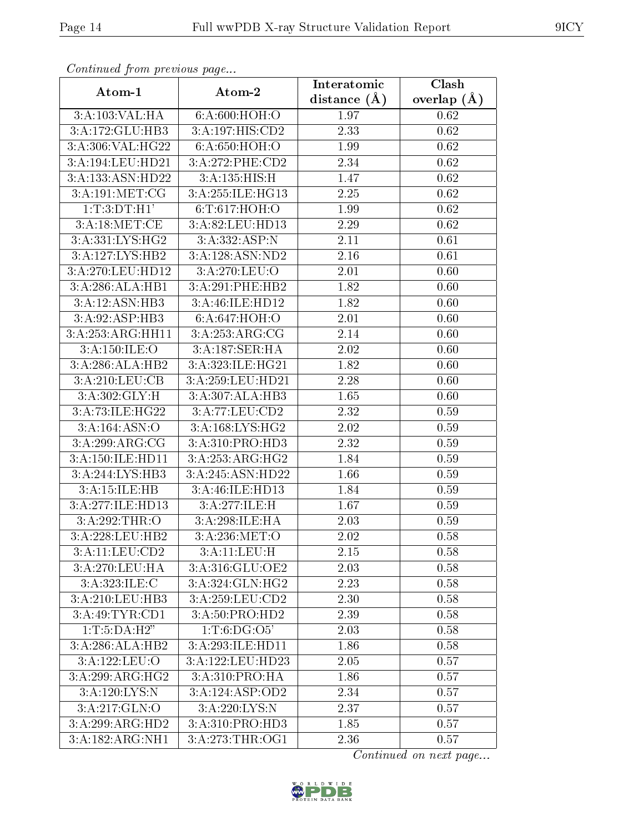| Continuati prom pretious page |                              | Interatomic    | Clash           |
|-------------------------------|------------------------------|----------------|-----------------|
| Atom-1                        | Atom-2                       | distance $(A)$ | overlap $(\AA)$ |
| 3:A:103:VAL:HA                | 6:A:600:HOH:O                | 1.97           | 0.62            |
| 3:A:172:GLU:HB3               | 3:A:197:HIS:CD2              | 2.33           | 0.62            |
| 3:A:306:VAL:HG22              | 6: A:650:HOH:O               | 1.99           | 0.62            |
| 3:A:194:LEU:HD21              | 3:A:272:PHE:CD2              | 2.34           | 0.62            |
| 3:A:133:ASN:HD22              | 3:A:135:HIS:H                | 1.47           | 0.62            |
| 3:A:191:MET:CG                | 3:A:255:ILE:HG13             | 2.25           | 0.62            |
| 1:T:3:DT:H1'                  | 6:T:617:HOH:O                | 1.99           | 0.62            |
| 3:A:18:MET:CE                 | 3:A:82:LEU:HD13              | 2.29           | 0.62            |
| $3:A:33\overline{1:LYS:HG2}$  | 3:A:332:ASP:N                | 2.11           | 0.61            |
| 3:A:127:LYS:HB2               | 3:A:128:ASN:ND2              | 2.16           | 0.61            |
| 3:A:270:LEU:HD12              | 3:A:270:LEU:O                | 2.01           | 0.60            |
| 3:A:286:ALA:HB1               | $3:A:291:PHE:\overline{HB2}$ | 1.82           | 0.60            |
| 3:A:12:ASN:HB3                | 3:A:46:ILE:HD12              | 1.82           | 0.60            |
| 3:A:92:ASP:HB3                | 6:A:647:HOH:O                | 2.01           | 0.60            |
| 3:A:253:ARG:HH11              | 3:A:253:ARG:CG               | 2.14           | 0.60            |
| 3: A:150: ILE: O              | 3:A:187:SER:HA               | 2.02           | 0.60            |
| 3:A:286:ALA:HB2               | 3:A:323:ILE:HG21             | 1.82           | 0.60            |
| 3:A:210:LEU:CB                | 3:A:259:LEU:HD21             | 2.28           | 0.60            |
| 3:A:302:GLY:H                 | 3:A:307:ALA:HB3              | 1.65           | 0.60            |
| 3:A:73:ILE:HG22               | 3:A:77:LEU:CD2               | 2.32           | 0.59            |
| 3: A: 164: ASN: O             | 3:A:168:LYS:HG2              | 2.02           | 0.59            |
| 3:A:299:ARG:CG                | 3:A:310:PRO:HD3              | 2.32           | 0.59            |
| 3:A:150:ILE:HD11              | 3:A:253:ARG:HG2              | 1.84           | 0.59            |
| 3:A:244:LYS:HB3               | 3:A:245:ASN:HD22             | 1.66           | 0.59            |
| 3:A:15:ILE:HB                 | 3:A:46:ILE:HD13              | 1.84           | 0.59            |
| 3:A:277:ILE:HD13              | 3:A:277:ILE:H                | 1.67           | 0.59            |
| 3:A:292:THR:O                 | 3:A:298:ILE:HA               | 2.03           | 0.59            |
| 3:A:228:LEU:HB2               | 3:A:236:MET:O                | 2.02           | 0.58            |
| 3:A:11:LEU:CD2                | 3:A:11:LEU:H                 | 2.15           | 0.58            |
| 3:A:270:LEU:HA                | 3:A:316:GLU:OE2              | 2.03           | 0.58            |
| $3:A.\overline{323:ILE:C}$    | 3:A:324:GLN:HG2              | 2.23           | 0.58            |
| 3:A:210:LEU:HB3               | 3:A:259:LEU:CD2              | 2.30           | 0.58            |
| 3:A:49:TYR:CD1                | 3:A:50:PRO:HD2               | 2.39           | 0.58            |
| 1: T: 5:DA:H2"                | 1: T: 6: DG: O5'             | 2.03           | 0.58            |
| 3:A:286:ALA:HB2               | 3:A:293:ILE:HD11             | 1.86           | 0.58            |
| 3:A:122:LEU:O                 | 3:A:122:LEU:HD23             | 2.05           | 0.57            |
| 3:A:299:ARG:HG2               | 3:A:310:PRO:HA               | 1.86           | 0.57            |
| 3:A:120:LYS:N                 | 3:A:124:ASP:OD2              | 2.34           | 0.57            |
| 3:A:217:GLN:O                 | 3:A:220:LYS:N                | 2.37           | 0.57            |
| 3:A:299:ARG:HD2               | 3:A:310:PRO:HD3              | 1.85           | 0.57            |
| 3:A:182:ARG:NH1               | 3:A:273:THR:OG1              | 2.36           | 0.57            |

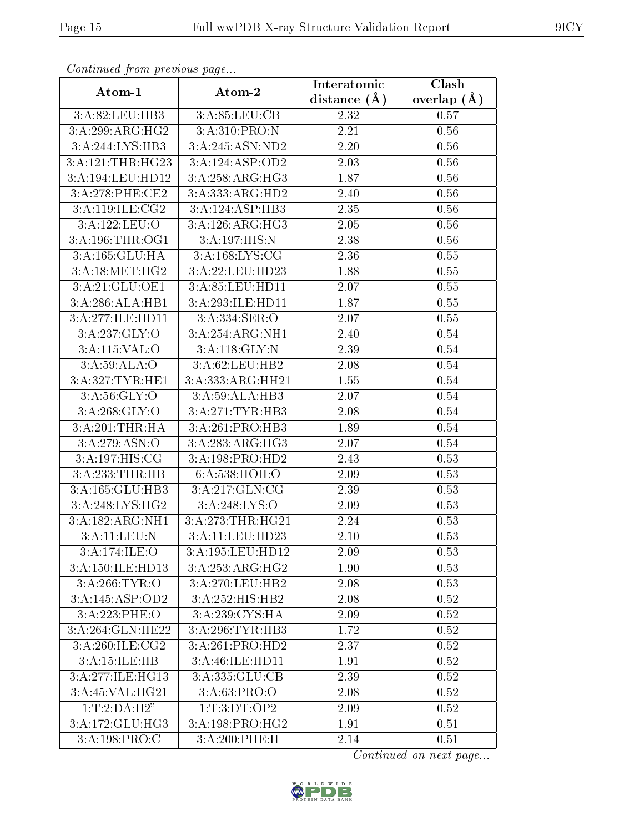| Continuati prom pretious page |                   | Interatomic    | Clash           |
|-------------------------------|-------------------|----------------|-----------------|
| Atom-1                        | Atom-2            | distance $(A)$ | overlap $(\AA)$ |
| 3:A:82:LEU:HB3                | 3:A:85:LEU:CB     | 2.32           | 0.57            |
| 3:A:299:ARG:HG2               | 3:A:310:PRO:N     | 2.21           | 0.56            |
| 3:A:244:LYS:HB3               | 3:A:245:ASN:ND2   | 2.20           | 0.56            |
| 3:A:121:THR:HG23              | 3:A:124:ASP:OD2   | 2.03           | 0.56            |
| 3:A:194:LEU:HD12              | 3: A:258:ARG:HG3  | 1.87           | 0.56            |
| 3:A:278:PHE:CE2               | 3:A:333:ARG:HD2   | 2.40           | 0.56            |
| 3:A:119:ILE:CG2               | 3:A:124:ASP:HB3   | 2.35           | 0.56            |
| 3:A:122:LEU:O                 | 3:A:126:ARG:HG3   | 2.05           | 0.56            |
| 3:A:196:THR:OG1               | 3:A:197:HIS:N     | 2.38           | 0.56            |
| 3:A:165:GLU:HA                | 3:A:168:LYS:CG    | 2.36           | 0.55            |
| 3:A:18:MET:HG2                | 3:A:22:LEU:HD23   | 1.88           | 0.55            |
| 3:A:21:GLU:OE1                | 3:A:85:LEU:HD11   | 2.07           | 0.55            |
| 3:A:286:ALA:HB1               | 3:A:293:ILE:HD11  | 1.87           | 0.55            |
| 3:A:277:ILE:HD11              | 3:A:334:SER:O     | 2.07           | 0.55            |
| 3:A:237:GLY:O                 | 3:A:254:ARG:NH1   | 2.40           | 0.54            |
| 3:A:115:VAL:O                 | 3:A:118:GLY:N     | 2.39           | 0.54            |
| 3: A:59: ALA:O                | 3:A:62:LEU:HB2    | 2.08           | 0.54            |
| 3:A:327:TYR:HE1               | 3:A:333:ARG:HH21  | 1.55           | $0.54\,$        |
| 3: A:56: GLY:O                | 3:A:59:ALA:HB3    | 2.07           | 0.54            |
| 3:A:268:GLY:O                 | 3:A:271:TYR:HB3   | 2.08           | 0.54            |
| 3:A:201:THR:HA                | 3:A:261:PRO:HB3   | 1.89           | 0.54            |
| 3:A:279:ASN:O                 | 3:A:283:ARG:HG3   | 2.07           | 0.54            |
| 3:A:197:HIS:CG                | 3:A:198:PRO:HD2   | 2.43           | 0.53            |
| 3:A:233:THR:HB                | 6: A:538: HOH:O   | 2.09           | 0.53            |
| 3:A:165:GLU:HB3               | 3:A:217:GLN:CG    | 2.39           | 0.53            |
| 3: A:248: LYS: HG2            | 3:A:248:LYS:O     | 2.09           | 0.53            |
| 3:A:182:ARG:NH1               | 3: A:273:THR:HG21 | 2.24           | 0.53            |
| 3:A:11:LEU:N                  | 3:A:11:LEU:HD23   | 2.10           | 0.53            |
| 3:A:174:ILE:O                 | 3:A:195:LEU:HD12  | 2.09           | 0.53            |
| 3:A:150:ILE:HD13              | 3:A:253:ARG:HG2   | 1.90           | 0.53            |
| 3:A:266:TYR:O                 | 3:A:270:LEU:HB2   | 2.08           | 0.53            |
| 3:A:145:ASP:OD2               | 3:A:252:HIS:HB2   | 2.08           | 0.52            |
| 3:A:223:PHE:O                 | 3:A:239:CYS:HA    | 2.09           | 0.52            |
| 3:A:264:GLN:HE22              | 3:A:296:TYR:HB3   | 1.72           | 0.52            |
| 3:A:260:ILE:CG2               | 3:A:261:PRO:HD2   | 2.37           | 0.52            |
| 3:A:15:ILE:HB                 | 3:A:46:ILE:HD11   | 1.91           | 0.52            |
| 3:A:277:ILE:HG13              | 3:A:335:GLU:CB    | 2.39           | 0.52            |
| 3:A:45:VAL:HG21               | 3: A:63: PRO:O    | $2.08\,$       | 0.52            |
| 1:T:2:DA:H2"                  | 1: T: 3: DT: OP2  | 2.09           | 0.52            |
| 3:A:172:GLU:HG3               | 3:A:198:PRO:HG2   | 1.91           | 0.51            |
| 3:A:198:PRO:C                 | 3:A:200:PHE:H     | 2.14           | 0.51            |

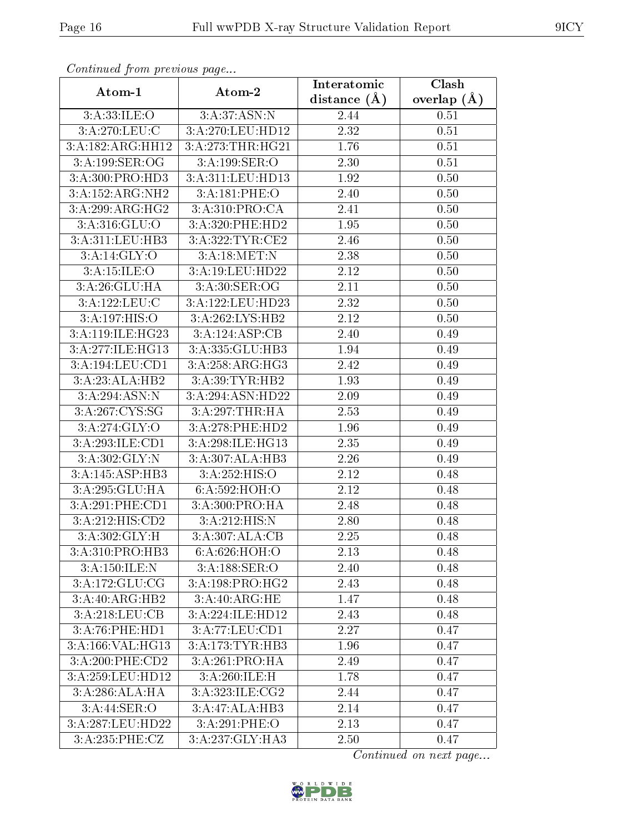| commune from previous page |                                               | Interatomic       | Clash         |
|----------------------------|-----------------------------------------------|-------------------|---------------|
| Atom-1                     | Atom-2                                        | distance $(A)$    | overlap $(A)$ |
| 3:A:33:ILE:O               | 3:A:37:ASN:N                                  | 2.44              | 0.51          |
| 3:A:270:LEU:C              | 3:A:270:LEU:HD12                              | $\overline{2.32}$ | 0.51          |
| 3:A:182:ARG:HH12           | 3:A:273:THR:HG21                              | 1.76              | 0.51          |
| 3:A:199:SER:OG             | 3:A:199:SER:O                                 | 2.30              | 0.51          |
| 3:A:300:PRO:HD3            | 3:A:311:LEU:HD13                              | 1.92              | 0.50          |
| 3:A:152:ARG:NH2            | 3:A:181:PHE:O                                 | 2.40              | 0.50          |
| 3:A:299:ARG:HG2            | 3:A:310:PRO:CA                                | 2.41              | 0.50          |
| 3: A:316: GLU:O            | 3:A:320:PHE:HD2                               | 1.95              | 0.50          |
| 3:A:311:LEU:HB3            | 3:A:322:TYR:CE2                               | 2.46              | 0.50          |
| 3:A:14:GLY:O               | 3:A:18:MET:N                                  | 2.38              | 0.50          |
| 3:A:15:ILE:O               | 3:A:19:LEU:HD22                               | 2.12              | 0.50          |
| 3:A:26:GLU:HA              | 3:A:30:SER:OG                                 | 2.11              | 0.50          |
| 3:A:122:LEU:C              | 3:A:122:LEU:HD23                              | 2.32              | 0.50          |
| 3:A:197:HIS:O              | 3:A:262:LYS:HB2                               | 2.12              | 0.50          |
| 3:A:119:ILE:HG23           | 3:A:124:ASP:CB                                | 2.40              | 0.49          |
| 3:A:277:ILE:HG13           | 3:A:335:GLU:HB3                               | 1.94              | 0.49          |
| 3:A:194:LEU:CD1            | 3: A:258:ARG:HG3                              | 2.42              | 0.49          |
| 3:A:23:ALA:HB2             | 3:A:39:TYR:HB2                                | 1.93              | 0.49          |
| 3:A:294:ASN:N              | 3:A:294:ASN:HD22                              | 2.09              | 0.49          |
| 3:A:267:CYS:SG             | 3:A:297:THR:HA                                | 2.53              | 0.49          |
| $3:A:274:\overline{GLY:O}$ | 3:A:278:PHE:HD2                               | 1.96              | 0.49          |
| 3:A:293:ILE:CD1            | 3:A:298:ILE:HG13                              | 2.35              | 0.49          |
| 3:A:302:GLY:N              | 3:A:307:ALA:HB3                               | 2.26              | 0.49          |
| 3:A:145:ASP:HB3            | 3: A: 252: HIS: O                             | 2.12              | 0.48          |
| 3:A:295:GLU:HA             | 6:A:592:HOH:O                                 | 2.12              | 0.48          |
| 3:A:291:PHE:CD1            | 3:A:300:PRO:HA                                | 2.48              | 0.48          |
| 3:A:212:HIS:CD2            | 3:A:212:HIS:N                                 | 2.80              | 0.48          |
| 3:A:302:GLY:H              | 3:A:307:ALA:CB                                | 2.25              | 0.48          |
| 3:A:310:PRO:HB3            | 6:A:626:HOH:O                                 | 2.13              | 0.48          |
| 3:A:150:ILE:N              | 3:A:188:SER:O                                 | 2.40              | 0.48          |
| 3:A:172:GLU:CG             | 3:A:198:PRO:HG2                               | 2.43              | 0.48          |
| 3:A:40:ARG:HB2             | 3:A:40:ARG:HE                                 | 1.47              | 0.48          |
| 3:A:218:LEU:CB             | 3:A:224:ILE:HD12                              | 2.43              | 0.48          |
| 3:A:76:PHE:HD1             | 3:A:77:LEU:CD1                                | 2.27              | 0.47          |
| 3:A:166:VAL:HG13           | $3:A:173:TYR:\overline{HB3}$                  | 1.96              | 0.47          |
| 3:A:200:PHE:CD2            | $3:A:261:\overline{\mathrm{PRO:H}\mathrm{A}}$ | 2.49              | 0.47          |
| 3:A:259:LEU:HD12           | 3:A:260:ILE:H                                 | 1.78              | 0.47          |
| 3:A:286:ALA:HA             | 3:A:323:ILE:CG2                               | 2.44              | 0.47          |
| 3: A:44: SER:O             | 3:A:47:ALA:HB3                                | 2.14              | 0.47          |
| 3:A:287:LEU:HD22           | 3:A:291:PHE:O                                 | 2.13              | 0.47          |
| 3:A:235:PHE:CZ             | 3:A:237:GLY:HA3                               | 2.50              | 0.47          |

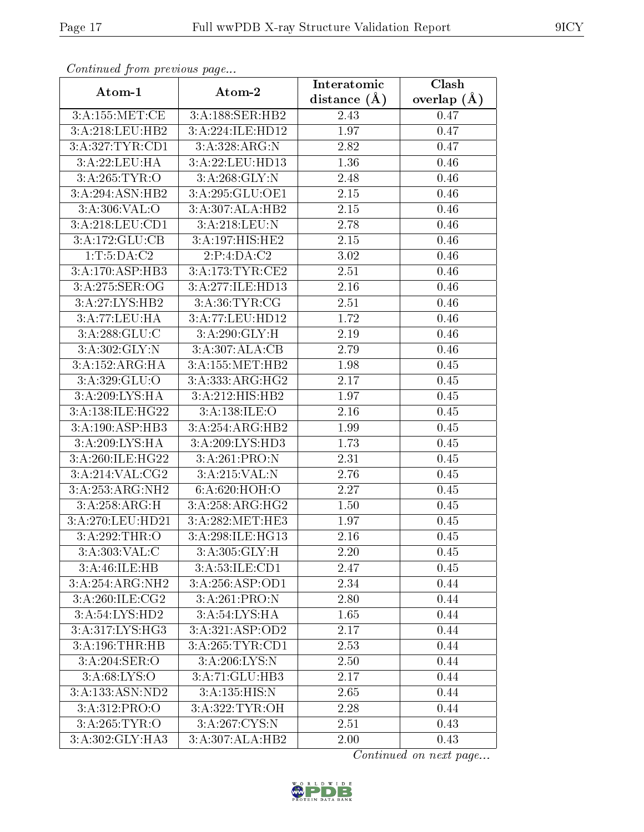| communa jioin premas page   |                              | Interatomic    | Clash           |
|-----------------------------|------------------------------|----------------|-----------------|
| Atom-1                      | Atom-2                       | distance $(A)$ | overlap $(\AA)$ |
| 3:A:155:MET:CE              | 3:A:188:SER:HB2              | 2.43           | 0.47            |
| 3:A:218:LEU:HB2             | 3:A:224:ILE:HD12             | 1.97           | 0.47            |
| 3:A:327:TYR:CD1             | 3:A:328:ARG:N                | 2.82           | 0.47            |
| 3:A:22:LEU:HA               | 3:A:22:LEU:HD13              | 1.36           | 0.46            |
| 3:A:265:TYR:O               | 3:A:268:GLY:N                | 2.48           | 0.46            |
| 3:A:294:ASN:HB2             | 3:A:295:GLU:OE1              | 2.15           | 0.46            |
| 3: A:306: VAL:O             | 3:A:307:ALA:HB2              | 2.15           | 0.46            |
| 3:A:218:LEU:CD1             | 3:A:218:LEU:N                | 2.78           | 0.46            |
| 3:A:172:GLU:CB              | 3:A:197:HIS:HE2              | 2.15           | 0.46            |
| 1: T: 5: DA: C2             | 2:P:4:DA:C2                  | 3.02           | 0.46            |
| 3:A:170:ASP:HB3             | 3:A:173:TYR:CE2              | 2.51           | 0.46            |
| 3:A:275:SER:OG              | 3:A:277:ILE:HD13             | 2.16           | 0.46            |
| 3:A:27:LYS:HB2              | 3:A:36:TYR:CG                | 2.51           | 0.46            |
| 3:A:77:LEU:HA               | 3:A:77:LEU:HD12              | 1.72           | 0.46            |
| 3:A:288:GLU:C               | 3:A:290:GLY:H                | 2.19           | 0.46            |
| 3:A:302:GLY:N               | 3:A:307:ALA:CB               | 2.79           | 0.46            |
| 3:A:152:ARG:HA              | 3:A:155:MET:HB2              | 1.98           | 0.45            |
| 3: A:329: GLU:O             | 3:A:333:ARG:HG2              | 2.17           | 0.45            |
| 3:A:209:LYS:HA              | 3:A:212:HIS:HB2              | 1.97           | 0.45            |
| 3:A:138:ILE:HG22            | 3: A: 138: ILE: O            | 2.16           | 0.45            |
| 3:A:190:ASP:HB3             | 3:A:254:ARG:HB2              | 1.99           | 0.45            |
| 3:A:209:LYS:HA              | 3:A:209:LYS:HD3              | 1.73           | 0.45            |
| 3:A:260:ILE:HG22            | 3:A:261:PRO:N                | 2.31           | 0.45            |
| 3:A:214:VAL:CG2             | 3:A:215:VAL:N                | 2.76           | 0.45            |
| 3:A:253:ARG:NH2             | 6:A:620:HOH:O                | 2.27           | 0.45            |
| $3:A:258:A\overline{RG}$ :H | 3:A:258:ARG:HG2              | 1.50           | 0.45            |
| 3:A:270:LEU:HD21            | 3:A:282:MET:HE3              | 1.97           | 0.45            |
| 3:A:292:THR:O               | 3:A:298:ILE:HG13             | 2.16           | 0.45            |
| 3:A:303:VAL:CC              | 3:A:305:GLY:H                | 2.20           | 0.45            |
| 3:A:46:ILE:HB               | 3:A:53:ILE:CD1               | 2.47           | 0.45            |
| 3:A:254:ARG:NH2             | 3: A:256: ASP:OD1            | 2.34           | 0.44            |
| 3:A:260:ILE:CG2             | 3:A:261:PRO:N                | 2.80           | 0.44            |
| 3:A:54:LYS:HD2              | $3:A:54:\text{LYS:HA}$       | 1.65           | 0.44            |
| 3:A:317:LYS:HG3             | 3:A:321:ASP:OD2              | 2.17           | 0.44            |
| 3:A:196:THR:HB              | 3:A:265:TYR:CD1              | 2.53           | 0.44            |
| 3:A:204:SER:O               | 3:A:206:LYS:N                | 2.50           | 0.44            |
| 3: A:68: LYS:O              | 3:A:71:GLU:HB3               | 2.17           | 0.44            |
| 3:A:133:ASN:ND2             | 3:A:135:HIS:N                | 2.65           | 0.44            |
| 3: A:312: PRO:O             | 3:A:322:TYR:OH               | 2.28           | 0.44            |
| 3:A:265:TYR:O               | 3:A:267:CYS:N                | 2.51           | 0.43            |
| 3:A:302:GLY:HA3             | $3:A:307:AL\overline{A:H}B2$ | $2.00\,$       | 0.43            |

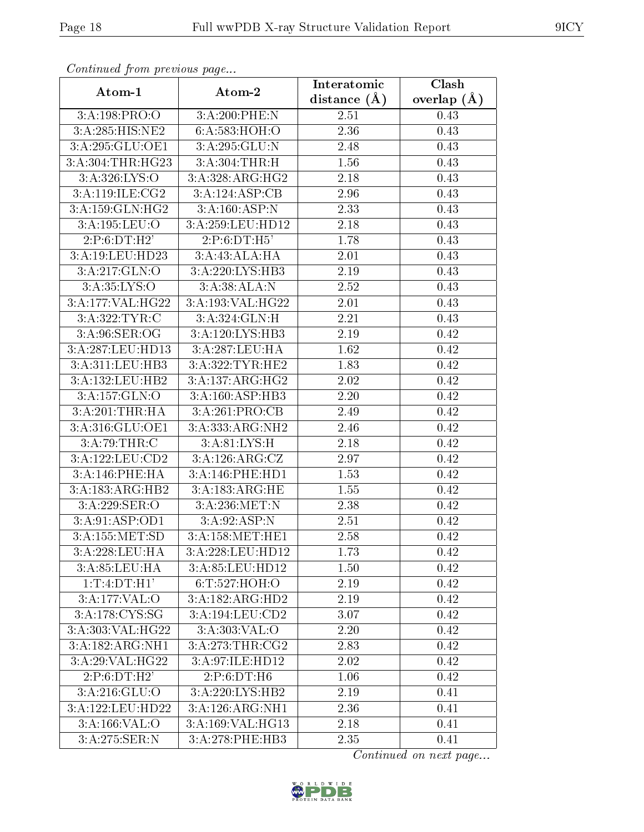| sonnana sa Ironn processão pago          |                     | Interatomic       | Clash         |
|------------------------------------------|---------------------|-------------------|---------------|
| Atom-1                                   | Atom-2              | distance $(A)$    | overlap $(A)$ |
| 3:A:198:PRO:O                            | 3:A:200:PHE:N       | 2.51              | 0.43          |
| $3:A:285:\overline{\text{HIS}:N \to 2}$  | 6:A:583:HOH:O       | 2.36              | 0.43          |
| 3:A:295:GLU:OE1                          | 3:A:295:GLU:N       | 2.48              | 0.43          |
| 3:A:304:THR:HG23                         | 3:A:304:THR:H       | 1.56              | 0.43          |
| 3:A:326:LYS:O                            | 3:A:328:ARG:HG2     | 2.18              | 0.43          |
| 3:A:119:ILE: CG2                         | 3:A:124:ASP:CB      | 2.96              | 0.43          |
| 3:A:159:GLN:HG2                          | 3:A:160:ASP:N       | 2.33              | 0.43          |
| 3:A:195:LEU:O                            | 3:A:259:LEU:HD12    | 2.18              | 0.43          |
| 2:P:6:DT:H2'                             | 2:P:6:DT:H5'        | 1.78              | 0.43          |
| 3:A:19:LEU:HD23                          | 3:A:43:ALA:HA       | 2.01              | 0.43          |
| 3:A:217:GLN:O                            | 3:A:220:LYS:HB3     | 2.19              | 0.43          |
| 3: A:35: LYS:O                           | 3:A:38:ALA:N        | $\overline{2.52}$ | 0.43          |
| 3:A:177:VAL:HG22                         | 3:A:193:VAL:HG22    | $2.01\,$          | 0.43          |
| 3:A:322:TYR:C                            | 3:A:324:GLN:H       | 2.21              | 0.43          |
| 3: A:96: SER:OG                          | 3:A:120:LYS:HB3     | 2.19              | 0.42          |
| 3:A:287:LEU:HD13                         | 3:A:287:LEU:HA      | 1.62              | 0.42          |
| 3:A:311:LEU:HB3                          | 3:A:322:TYR:HE2     | 1.83              | 0.42          |
| 3:A:132:LEU:HB2                          | 3:A:137:ARG:HG2     | 2.02              | 0.42          |
| 3:A:157:GLN:O                            | 3:A:160:ASP:HB3     | 2.20              | 0.42          |
| 3:A:201:THR:HA                           | 3:A:261:PRO:CB      | 2.49              | 0.42          |
| 3:A:316:GLU:OE1                          | 3:A:333:ARG:NH2     | 2.46              | 0.42          |
| 3:A:79:THR:C                             | 3: A:81: LYS:H      | 2.18              | 0.42          |
| $3:\overline{A}:122:\underline{LEU}:CD2$ | 3:A:126:ARG:CZ      | 2.97              | 0.42          |
| 3:A:146:PHE:HA                           | 3:A:146:PHE:HD1     | 1.53              | 0.42          |
| 3:A:183:ARG:HB2                          | 3:A:183:ARG:HE      | 1.55              | 0.42          |
| 3:A:229:SER:O                            | 3:A:236:MET:N       | 2.38              | 0.42          |
| 3:A:91:ASP:OD1                           | 3: A:92: ASP:N      | 2.51              | 0.42          |
| 3:A:155:MET:SD                           | 3:A:158:MET:HE1     | 2.58              | 0.42          |
| 3:A:228:LEU:HA                           | 3:A:228:LEU:HD12    | 1.73              | 0.42          |
| 3:A:85:LEU:HA                            | 3:A:85:LEU:HD12     | 1.50              | 0.42          |
| 1:T:4:DT:H1'                             | 6: T:527: HOH:O     | 2.19              | 0.42          |
| 3:A:177:VAL:O                            | 3:A:182:ARG:HD2     | 2.19              | 0.42          |
| 3:A:178:CYS:SG                           | 3:A:194:LEU:CD2     | 3.07              | 0.42          |
| 3:A:303:VAL:HG22                         | 3: A:303: VAL:O     | 2.20              | 0.42          |
| 3:A:182:ARG:NH1                          | 3: A:273:THR:CG2    | 2.83              | 0.42          |
| 3:A:29:VAL:HG22                          | 3:A:97:ILE:HD12     | 2.02              | 0.42          |
| 2:P:6:DT:H2'                             | 2:P:6:DT:H6         | 1.06              | 0.42          |
| $3:A:216:\overline{GLU:O}$               | 3:A:220:LYS:HB2     | 2.19              | 0.41          |
| 3:A:122:LEU:HD22                         | 3:A:126:ARG:NH1     | 2.36              | 0.41          |
| 3:A:166:VAL:O                            | 3: A:169: VAL: HG13 | 2.18              | 0.41          |
| 3:A:275:SER:N                            | 3:A:278:PHE:HB3     | 2.35              | 0.41          |

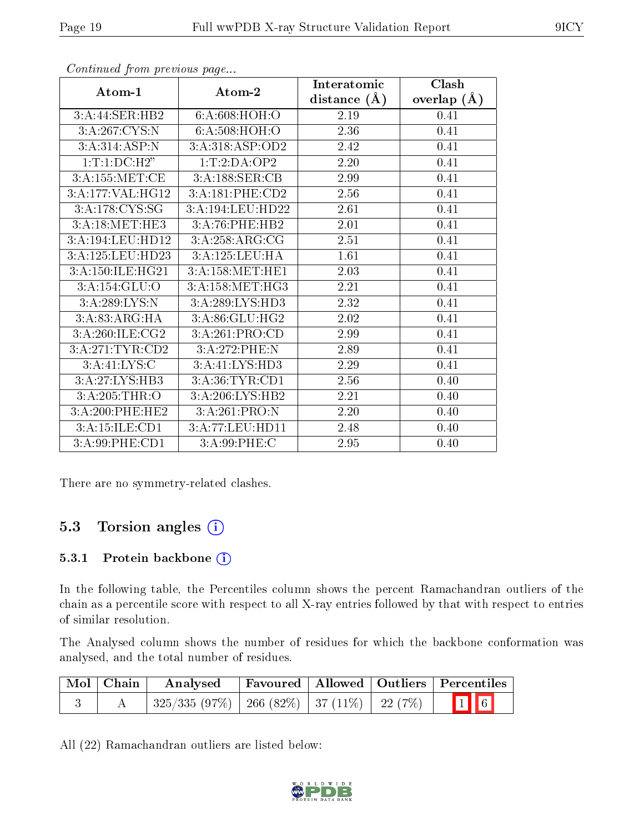| . <sub>.</sub> <u>.</u>       |                  | Interatomic    | Clash         |
|-------------------------------|------------------|----------------|---------------|
| Atom-1                        | Atom-2           | distance $(A)$ | overlap $(A)$ |
| 3:A:44:SER:HB2                | 6: A:608: HOH:O  | 2.19           | 0.41          |
| 3:A:267:CYS:N                 | 6: A:508: HOH:O  | 2.36           | 0.41          |
| 3:A:314:ASP:N                 | 3:A:318:ASP:OD2  | 2.42           | 0.41          |
| 1: T: 1: DC: H2"              | 1:T:2:DA:OP2     | 2.20           | 0.41          |
| 3:A:155:MET:CE                | 3:A:188:SER:CB   | 2.99           | 0.41          |
| 3:A:177:VAL:HG12              | 3:A:181:PHE:CD2  | 2.56           | 0.41          |
| 3:A:178:CYS:SG                | 3:A:194:LEU:HD22 | 2.61           | 0.41          |
| 3: A:18:MET:HE3               | 3:A:76:PHE:HB2   | 2.01           | 0.41          |
| $3:A:194:LEU:H\overline{D12}$ | 3:A:258:ARG:CG   | 2.51           | 0.41          |
| 3:A:125:LEU:HD23              | 3:A:125:LEU:HA   | 1.61           | 0.41          |
| 3:A:150:ILE:HG21              | 3:A:158:MET:HE1  | 2.03           | 0.41          |
| 3:A:154:GLU:O                 | 3: A:158:MET:HG3 | 2.21           | 0.41          |
| 3:A:289:LYS:N                 | 3:A:289:LYS:HD3  | 2.32           | 0.41          |
| 3:A:83:ARG:HA                 | 3:A:86:GLU:HG2   | 2.02           | 0.41          |
| 3:A:260:ILE:CG2               | 3:A:261:PRO:CD   | 2.99           | 0.41          |
| 3:A:271:TYR:CD2               | 3:A:272:PHE:N    | 2.89           | 0.41          |
| 3:A:41:LYS:C                  | 3:A:41:LYS:HD3   | 2.29           | 0.41          |
| 3:A:27:LYS:HB3                | 3:A:36:TYR:CD1   | 2.56           | 0.40          |
| 3:A:205:THR:O                 | 3:A:206:LYS:HB2  | 2.21           | 0.40          |
| 3:A:200:PHE:HE2               | 3:A:261:PRO:N    | 2.20           | 0.40          |
| 3:A:15:ILE:CD1                | 3:A:77:LEU:HD11  | 2.48           | 0.40          |
| 3:A:99:PHE:CD1                | 3:A:99:PHE:C     | 2.95           | 0.40          |

There are no symmetry-related clashes.

### 5.3 Torsion angles (i)

#### 5.3.1 Protein backbone (i)

In the following table, the Percentiles column shows the percent Ramachandran outliers of the chain as a percentile score with respect to all X-ray entries followed by that with respect to entries of similar resolution.

The Analysed column shows the number of residues for which the backbone conformation was analysed, and the total number of residues.

| Mol Chain | Analysed                                             |  | Favoured   Allowed   Outliers   Percentiles |
|-----------|------------------------------------------------------|--|---------------------------------------------|
|           | $325/335$ (97\%)   266 (82\%)   37 (11\%)   22 (7\%) |  | $\boxed{1}$ 6                               |

All (22) Ramachandran outliers are listed below:

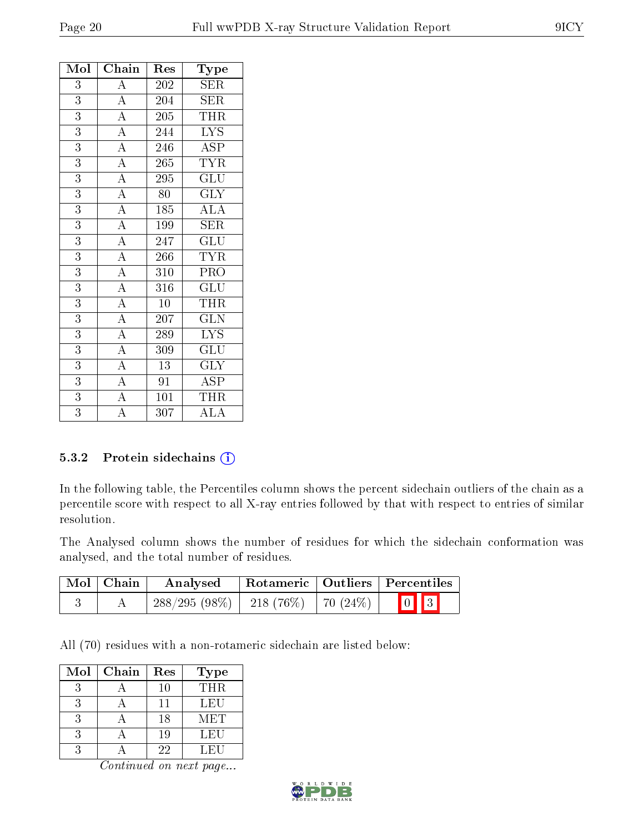| Mol            | Chain                               | Res              | Type                            |
|----------------|-------------------------------------|------------------|---------------------------------|
| 3              | $\overline{\rm A}$                  | 202              | SER                             |
| $\overline{3}$ | $\overline{A}$                      | 204              | SER                             |
| $\overline{3}$ | $\frac{1}{\underline{A}}$           | 205              | <b>THR</b>                      |
| $\overline{3}$ | $\overline{A}$                      | 244              | $\overline{\text{LYS}}$         |
| 3              | $\overline{A}$                      | 246              | $\overline{ASP}$                |
| 3              | $\frac{\overline{A}}{\overline{A}}$ | 265              | $\overline{\text{TYR}}$         |
| 3              |                                     | 295              | $\overline{{\rm GLU}}$          |
| 3              | $\overline{A}$                      | $\overline{80}$  | <b>GLY</b>                      |
| 3              | $\frac{\overline{A}}{\overline{A}}$ | 185              | $\overline{\rm ALA}$            |
| 3              |                                     | 199              | <b>SER</b>                      |
| $\overline{3}$ | $\frac{1}{\mathbf{A}}$              | $\overline{247}$ | $\overline{\mathrm{GLU}}$       |
| 3              | $\overline{A}$                      | 266              | <b>TYR</b>                      |
| 3              | $\overline{A}$                      | 310              | PRO                             |
| $\overline{3}$ | $\overline{A}$                      | 316              | GLU                             |
| $\overline{3}$ | $\overline{A}$                      | 10               | THR                             |
| $\overline{3}$ | $\overline{A}$                      | 207              | $\overline{\text{GLN}}$         |
| 3              | $\frac{\overline{A}}{\overline{A}}$ | 289              | $\overline{\text{L} \text{YS}}$ |
| $\overline{3}$ |                                     | 309              | $\overline{\mathrm{GLU}}$       |
| $\overline{3}$ | $\overline{A}$                      | $\overline{13}$  | $\overline{\text{GLY}}$         |
| 3              | $\frac{1}{\underline{A}}$           | 91               | ASP                             |
| $\overline{3}$ | $\overline{A}$                      | 101              | THR                             |
| $\overline{3}$ | $\overline{\rm A}$                  | 307              | $\rm ALA$                       |

#### 5.3.2 Protein sidechains (i)

In the following table, the Percentiles column shows the percent sidechain outliers of the chain as a percentile score with respect to all X-ray entries followed by that with respect to entries of similar resolution.

The Analysed column shows the number of residues for which the sidechain conformation was analysed, and the total number of residues.

| Mol   Chain | Analysed                               |  | Rotameric   Outliers   Percentiles |
|-------------|----------------------------------------|--|------------------------------------|
|             | $288/295(98\%)$   218(76\%)   70(24\%) |  | $\boxed{0}$ $\boxed{3}$            |

All (70) residues with a non-rotameric sidechain are listed below:

| Mol | Chain | Res | <b>Type</b> |
|-----|-------|-----|-------------|
|     |       | 10  | <b>THR</b>  |
|     |       | 11  | LEU         |
|     |       | 18  | MET         |
| 3   |       | 19  | LEU         |
|     |       | 22  | LEU         |

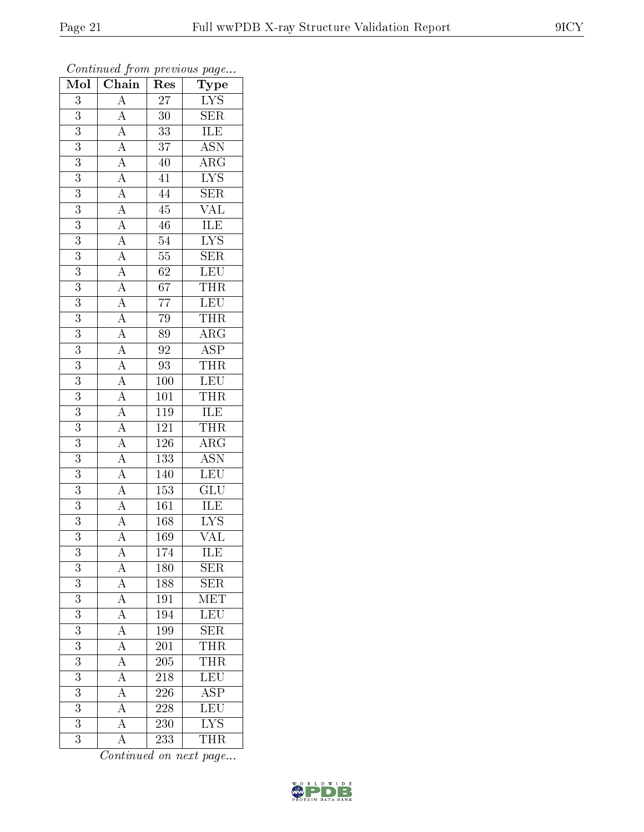| Mol              | $\sim$ $\sim$<br>Chain                                                                                                                                                                                                                                                                                                                                                                                                                                                  | r -<br>Res       | $\mathbf{r}$ - $\mathbf{v}$<br>$\mathrm{\overline{Type}}$ |
|------------------|-------------------------------------------------------------------------------------------------------------------------------------------------------------------------------------------------------------------------------------------------------------------------------------------------------------------------------------------------------------------------------------------------------------------------------------------------------------------------|------------------|-----------------------------------------------------------|
| 3                | $\overline{A}$                                                                                                                                                                                                                                                                                                                                                                                                                                                          | 27               | $\frac{\text{LYS}}{\text{SER}}$                           |
| $\overline{3}$   |                                                                                                                                                                                                                                                                                                                                                                                                                                                                         | $\overline{30}$  |                                                           |
| $\overline{3}$   |                                                                                                                                                                                                                                                                                                                                                                                                                                                                         | 33 <sup>7</sup>  | ILE <sup>1</sup>                                          |
| $\overline{3}$   |                                                                                                                                                                                                                                                                                                                                                                                                                                                                         | $\overline{37}$  | $\overline{\text{ASN}}$                                   |
| $\overline{3}$   |                                                                                                                                                                                                                                                                                                                                                                                                                                                                         | $\overline{40}$  | $\overline{\rm{ARG}}$                                     |
| 3                |                                                                                                                                                                                                                                                                                                                                                                                                                                                                         | $\overline{41}$  | $\overline{\text{LYS}}$                                   |
| 3                |                                                                                                                                                                                                                                                                                                                                                                                                                                                                         | 44               | <b>SER</b>                                                |
| $\overline{3}$   |                                                                                                                                                                                                                                                                                                                                                                                                                                                                         | $\overline{45}$  | $\overline{\text{VAL}}$                                   |
| $\overline{3}$   |                                                                                                                                                                                                                                                                                                                                                                                                                                                                         | 46               | <b>ILE</b>                                                |
| $\overline{3}$   |                                                                                                                                                                                                                                                                                                                                                                                                                                                                         | $\overline{54}$  | $\overline{\text{LYS}}$                                   |
| 3                |                                                                                                                                                                                                                                                                                                                                                                                                                                                                         | $\overline{55}$  | $\overline{\text{SER}}$                                   |
| $\overline{3}$   |                                                                                                                                                                                                                                                                                                                                                                                                                                                                         | $\overline{62}$  | $\frac{1}{LEU}$                                           |
| $\overline{3}$   |                                                                                                                                                                                                                                                                                                                                                                                                                                                                         | $\overline{67}$  | <b>THR</b>                                                |
| $\overline{3}$   |                                                                                                                                                                                                                                                                                                                                                                                                                                                                         | $\overline{77}$  | LEU                                                       |
| $\overline{3}$   | $\frac{\frac{1}{\mathbf{A}}\mathbf{A}}{\mathbf{A}}\frac{\mathbf{A}}{\mathbf{A}}\frac{\mathbf{A}}{\mathbf{A}}\frac{\mathbf{A}}{\mathbf{A}}\frac{\mathbf{A}}{\mathbf{A}}\frac{\mathbf{A}}{\mathbf{A}}\frac{\mathbf{A}}{\mathbf{A}}\frac{\mathbf{A}}{\mathbf{A}}\frac{\mathbf{A}}{\mathbf{A}}\frac{\mathbf{A}}{\mathbf{A}}\frac{\mathbf{A}}{\mathbf{A}}\frac{\mathbf{A}}{\mathbf{A}}\frac{\mathbf{A}}{\mathbf{A}}\frac{\mathbf{A}}{\mathbf{A}}\frac{\mathbf{A}}{\mathbf{A$ | 79               | $\frac{\text{THR}}{\text{}}$                              |
| 3                |                                                                                                                                                                                                                                                                                                                                                                                                                                                                         | 89               | $\overline{\text{ARG}}$                                   |
| $\overline{3}$   |                                                                                                                                                                                                                                                                                                                                                                                                                                                                         | $\overline{92}$  | $\overline{\text{ASP}}$                                   |
| $\overline{3}$   |                                                                                                                                                                                                                                                                                                                                                                                                                                                                         | 93               | <b>THR</b>                                                |
| $\overline{3}$   |                                                                                                                                                                                                                                                                                                                                                                                                                                                                         | 100              | $\overline{\text{LEU}}$                                   |
| $\overline{3}$   |                                                                                                                                                                                                                                                                                                                                                                                                                                                                         | 101              | $\overline{\text{THR}}$                                   |
| $\overline{3}$   |                                                                                                                                                                                                                                                                                                                                                                                                                                                                         | $1\,19$          | $\frac{1}{\text{ILE}}$                                    |
| $\overline{3}$   |                                                                                                                                                                                                                                                                                                                                                                                                                                                                         | 121              | <b>THR</b>                                                |
| $\overline{3}$   |                                                                                                                                                                                                                                                                                                                                                                                                                                                                         | 126              | $\overline{\rm{ARG}}$                                     |
| $\overline{3}$   |                                                                                                                                                                                                                                                                                                                                                                                                                                                                         | 133              | $\overline{\mathrm{ASN}}$                                 |
| $\overline{3}$   |                                                                                                                                                                                                                                                                                                                                                                                                                                                                         | 140              | LEU                                                       |
| 3                |                                                                                                                                                                                                                                                                                                                                                                                                                                                                         | 153              | $\overline{{\rm GLU}}$                                    |
| $\overline{3}$   |                                                                                                                                                                                                                                                                                                                                                                                                                                                                         | 161              | <b>ILE</b>                                                |
| $\overline{3}$   |                                                                                                                                                                                                                                                                                                                                                                                                                                                                         | $\overline{168}$ | $\overline{\text{LYS}}$                                   |
| $\overline{3}$   | $\overline{A}$                                                                                                                                                                                                                                                                                                                                                                                                                                                          | 169              | $\overline{\text{VAL}}$                                   |
| 3                | $\mathbf{A}$                                                                                                                                                                                                                                                                                                                                                                                                                                                            | 174              | $IL\overline{E}$                                          |
| 3                | $\overline{A}$                                                                                                                                                                                                                                                                                                                                                                                                                                                          | 180              | <b>SER</b>                                                |
| $\overline{3}$   | $\frac{\overline{A}}{\overline{A}}$                                                                                                                                                                                                                                                                                                                                                                                                                                     | 188              | SER                                                       |
| $\overline{3}$   |                                                                                                                                                                                                                                                                                                                                                                                                                                                                         | 191              | MET                                                       |
| $\overline{3}$   |                                                                                                                                                                                                                                                                                                                                                                                                                                                                         | 194              | $\overline{\text{LEU}}$                                   |
| $\boldsymbol{3}$ | $\frac{\overline{A}}{\overline{A}}$                                                                                                                                                                                                                                                                                                                                                                                                                                     | 199              | SER                                                       |
| $\overline{3}$   | $\frac{\overline{A}}{\overline{A}}$                                                                                                                                                                                                                                                                                                                                                                                                                                     | 201              | <b>THR</b>                                                |
| $\overline{3}$   |                                                                                                                                                                                                                                                                                                                                                                                                                                                                         | 205              | THR                                                       |
| $\overline{3}$   | $\overline{A}$                                                                                                                                                                                                                                                                                                                                                                                                                                                          | 218              | LEU                                                       |
| 3                |                                                                                                                                                                                                                                                                                                                                                                                                                                                                         | 226              | $\overline{\rm ASP}$                                      |
| 3                | $\frac{\overline{A}}{\overline{A}}$                                                                                                                                                                                                                                                                                                                                                                                                                                     | 228              | LEU                                                       |
| $\boldsymbol{3}$ | $\overline{A}$                                                                                                                                                                                                                                                                                                                                                                                                                                                          | 230              | $\overline{\text{LYS}}$                                   |
| $\overline{3}$   | $\overline{\rm A}$                                                                                                                                                                                                                                                                                                                                                                                                                                                      | 233              | <b>THR</b>                                                |

Continued from previous page...

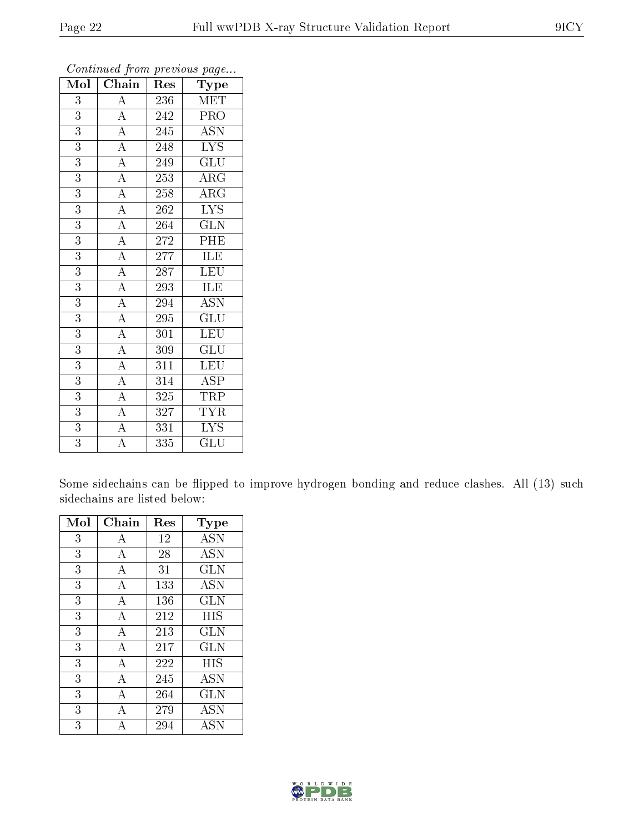| Mol            | Chain                               | Res              | Type                      |
|----------------|-------------------------------------|------------------|---------------------------|
| $\overline{3}$ | $\boldsymbol{A}$                    | 236              | <b>MET</b>                |
| $\overline{3}$ | $\overline{A}$                      | 242              | PRO                       |
| $\overline{3}$ | $\frac{\overline{A}}{\overline{A}}$ | 245              | $\overline{\mathrm{ASN}}$ |
| $\overline{3}$ |                                     | 248              | <b>LYS</b>                |
| $\overline{3}$ |                                     | 249              | $\overline{{\rm GLU}}$    |
| $\overline{3}$ | $\frac{\overline{A}}{\overline{A}}$ | 253              | $\rm{ARG}$                |
| $\overline{3}$ |                                     | 258              | $\overline{\rm ARG}$      |
| $\overline{3}$ | $\overline{A}$                      | 262              | $\overline{\text{LYS}}$   |
| $\overline{3}$ | $\overline{A}$                      | 264              | $\widetilde{{\rm GLN}}$   |
| $\overline{3}$ | $\overline{A}$                      | 272              | PHE                       |
| $\overline{3}$ | $\overline{A}$                      | 277              | ILE                       |
| $\overline{3}$ | $\overline{A}$                      | 287              | LEU                       |
| $\overline{3}$ | $\overline{A}$                      | 293              | ILE                       |
| $\overline{3}$ | $\overline{A}$                      | 294              | $\rm A\overline{SN}$      |
| 3              | $\overline{A}$                      | 295              | GLU                       |
| $\overline{3}$ | $\overline{A}$                      | 301              | <b>LEU</b>                |
| $\overline{3}$ | $\overline{A}$                      | 309              | $\overline{\mathrm{GLU}}$ |
| $\overline{3}$ | $\frac{4}{\overline{A}}$            | $\overline{3}11$ | <b>LEU</b>                |
| $\overline{3}$ | $\overline{A}$                      | 314              | ASP                       |
| $\overline{3}$ | $\overline{A}$                      | 325              | <b>TRP</b>                |
| $\overline{3}$ | $\overline{A}$                      | 327              | TYR                       |
| $\overline{3}$ | $\overline{A}$                      | 331              | $\overline{\text{LYS}}$   |
| $\overline{3}$ | $\overline{\rm A}$                  | 335              | GLU                       |

Some sidechains can be flipped to improve hydrogen bonding and reduce clashes. All (13) such sidechains are listed below:

| Mol | Chain | Res | Type       |
|-----|-------|-----|------------|
| 3   | А     | 12  | <b>ASN</b> |
| 3   | А     | 28  | <b>ASN</b> |
| 3   | А     | 31  | GLN        |
| 3   | А     | 133 | <b>ASN</b> |
| 3   | А     | 136 | GLN        |
| 3   | А     | 212 | HIS        |
| 3   | A     | 213 | GLN        |
| 3   | А     | 217 | GLN        |
| 3   | А     | 222 | HIS        |
| 3   | А     | 245 | <b>ASN</b> |
| 3   | А     | 264 | GLN        |
| 3   | А     | 279 | <b>ASN</b> |
| 3   | A     | 294 | <b>ASN</b> |

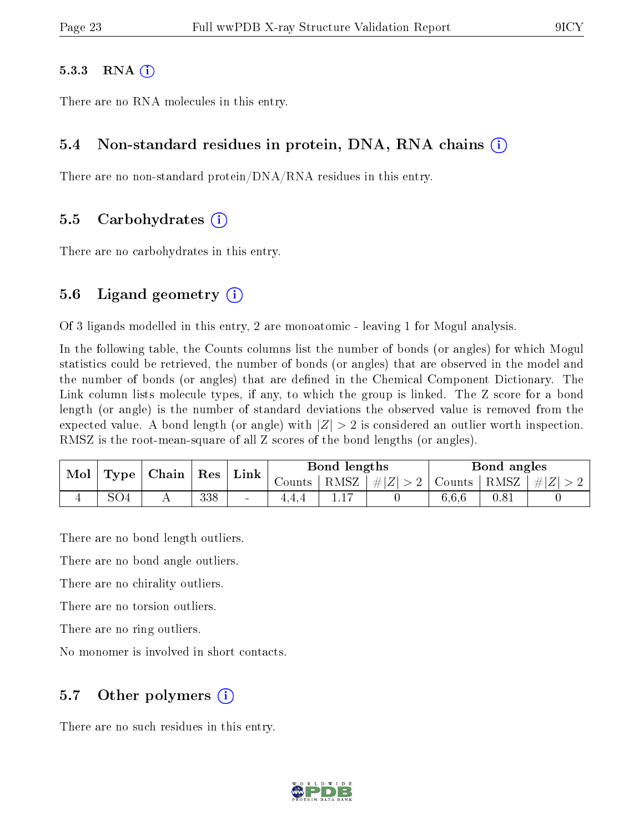#### $5.3.3$  RNA  $(i)$

There are no RNA molecules in this entry.

#### 5.4 Non-standard residues in protein, DNA, RNA chains (i)

There are no non-standard protein/DNA/RNA residues in this entry.

#### 5.5 Carbohydrates (i)

There are no carbohydrates in this entry.

#### 5.6 Ligand geometry  $(i)$

Of 3 ligands modelled in this entry, 2 are monoatomic - leaving 1 for Mogul analysis.

In the following table, the Counts columns list the number of bonds (or angles) for which Mogul statistics could be retrieved, the number of bonds (or angles) that are observed in the model and the number of bonds (or angles) that are defined in the Chemical Component Dictionary. The Link column lists molecule types, if any, to which the group is linked. The Z score for a bond length (or angle) is the number of standard deviations the observed value is removed from the expected value. A bond length (or angle) with  $|Z| > 2$  is considered an outlier worth inspection. RMSZ is the root-mean-square of all Z scores of the bond lengths (or angles).

| Mol |  | $\mid$ Type $\mid$ Chain $\mid$ Res |     | $\mathop{\rm Link}\nolimits$ | Bond lengths |              | Bond angles                                         |       |  |               |
|-----|--|-------------------------------------|-----|------------------------------|--------------|--------------|-----------------------------------------------------|-------|--|---------------|
|     |  |                                     |     |                              | Counts       | $+$ RMSZ $+$ | $\left  \frac{1}{2} \right  \leq 2$   Counts   RMSZ |       |  | $\perp \# Z $ |
|     |  |                                     | 338 | $\sim$                       | ュ・ュ・ュ        |              |                                                     | 6,6,6 |  |               |

There are no bond length outliers.

There are no bond angle outliers.

There are no chirality outliers.

There are no torsion outliers.

There are no ring outliers.

No monomer is involved in short contacts.

#### 5.7 [O](https://www.wwpdb.org/validation/2017/XrayValidationReportHelp#nonstandard_residues_and_ligands)ther polymers (i)

There are no such residues in this entry.

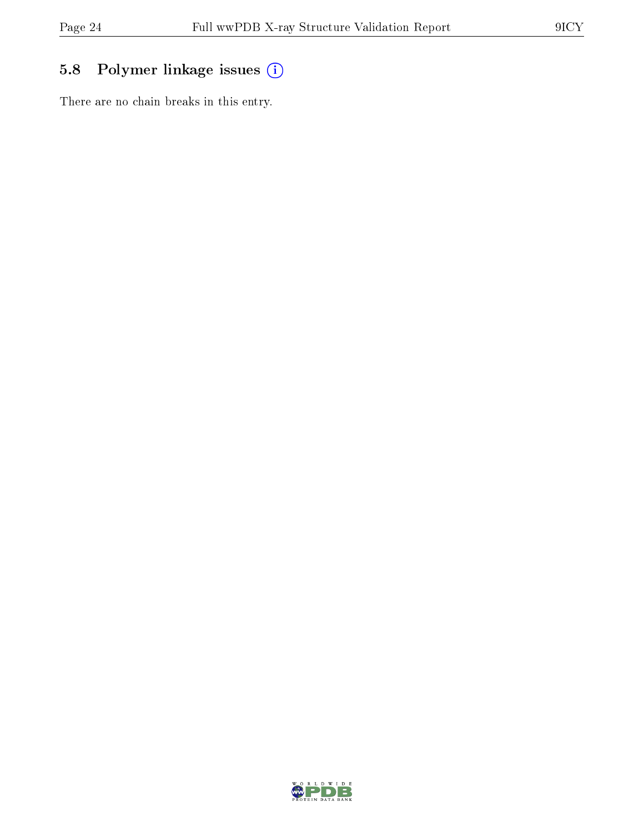## 5.8 Polymer linkage issues (i)

There are no chain breaks in this entry.

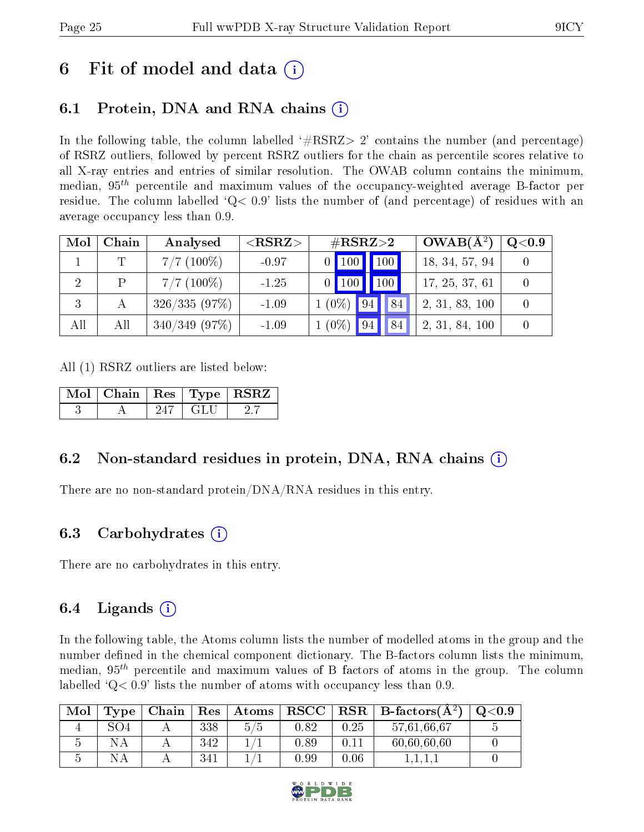## 6 Fit of model and data  $\left( \cdot \right)$

### 6.1 Protein, DNA and RNA chains (i)

In the following table, the column labelled  $#RSRZ>2'$  contains the number (and percentage) of RSRZ outliers, followed by percent RSRZ outliers for the chain as percentile scores relative to all X-ray entries and entries of similar resolution. The OWAB column contains the minimum, median,  $95<sup>th</sup>$  percentile and maximum values of the occupancy-weighted average B-factor per residue. The column labelled  $Q< 0.9$  lists the number of (and percentage) of residues with an average occupancy less than 0.9.

| Mol | Chain        | Analysed        | ${ <\hspace{-1.5pt}{\mathrm{RSRZ}} \hspace{-1.5pt}>}$ | $\#\text{RSRZ}\text{>2}$   | $OWAB(A^2)$    | $\rm Q\textcolor{black}{<}0.9$ |
|-----|--------------|-----------------|-------------------------------------------------------|----------------------------|----------------|--------------------------------|
|     |              | $7/7$ (100\%)   | $-0.97$                                               | $0$ $100$ $\overline{100}$ | 18, 34, 57, 94 |                                |
|     | <sup>D</sup> | $7/7$ (100\%)   | $-1.25$                                               | 100<br>$0$   100           | 17, 25, 37, 61 |                                |
|     | А            | 326/335(97%)    | $-1.09$                                               | $1(0\%)$ 94<br>84          | 2, 31, 83, 100 |                                |
| All | All          | $340/349$ (97%) | $-1.09$                                               | $1(0\%)$<br>84<br> 94      | 2, 31, 84, 100 |                                |

All (1) RSRZ outliers are listed below:

| Mol   Chain   Res   Type   RSRZ |  |  |
|---------------------------------|--|--|
|                                 |  |  |

### 6.2 Non-standard residues in protein, DNA, RNA chains  $(i)$

There are no non-standard protein/DNA/RNA residues in this entry.

### 6.3 Carbohydrates (i)

There are no carbohydrates in this entry.

### 6.4 Ligands  $(i)$

In the following table, the Atoms column lists the number of modelled atoms in the group and the number defined in the chemical component dictionary. The B-factors column lists the minimum, median,  $95<sup>th</sup>$  percentile and maximum values of B factors of atoms in the group. The column labelled  $Q< 0.9$ ' lists the number of atoms with occupancy less than 0.9.

| Mol | $_{\mathrm{Type}}$ | Chain | Res | Atoms | $_{\rm RSCC}$ |      | $R$ RSR $\parallel$ B-factors( $A^2$ ) | $\mathrm{O}{<}0.9$ |
|-----|--------------------|-------|-----|-------|---------------|------|----------------------------------------|--------------------|
|     | SO 4               |       | 338 | 5/5   | 0.82          | 0.25 | 57,61,66,67                            |                    |
|     |                    |       | 342 |       | 0.89          | 0.11 | 60,60,60,60                            |                    |
|     |                    |       | 341 |       | $0.99\,$      | 0.06 |                                        |                    |